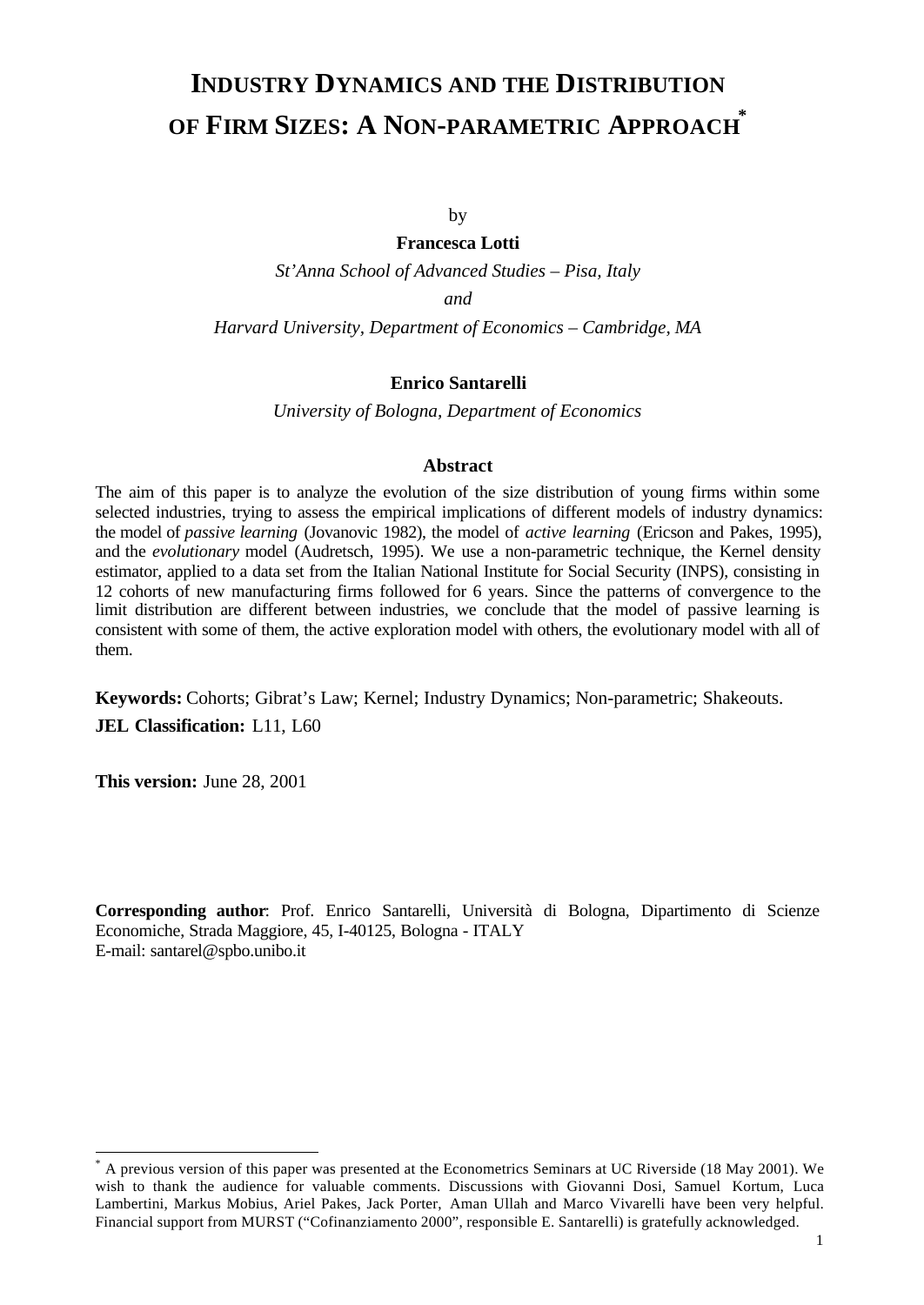# **INDUSTRY DYNAMICS AND THE DISTRIBUTION OF FIRM SIZES: A NON-PARAMETRIC APPROACH \***

by

**Francesca Lotti** *St'Anna School of Advanced Studies – Pisa, Italy and Harvard University, Department of Economics – Cambridge, MA*

# **Enrico Santarelli**

*University of Bologna, Department of Economics*

## **Abstract**

The aim of this paper is to analyze the evolution of the size distribution of young firms within some selected industries, trying to assess the empirical implications of different models of industry dynamics: the model of *passive learning* (Jovanovic 1982), the model of *active learning* (Ericson and Pakes, 1995), and the *evolutionary* model (Audretsch, 1995). We use a non-parametric technique, the Kernel density estimator, applied to a data set from the Italian National Institute for Social Security (INPS), consisting in 12 cohorts of new manufacturing firms followed for 6 years. Since the patterns of convergence to the limit distribution are different between industries, we conclude that the model of passive learning is consistent with some of them, the active exploration model with others, the evolutionary model with all of them.

**Keywords:** Cohorts; Gibrat's Law; Kernel; Industry Dynamics; Non-parametric; Shakeouts. **JEL Classification:** L11, L60

**This version:** June 28, 2001

l

**Corresponding author**: Prof. Enrico Santarelli, Università di Bologna, Dipartimento di Scienze Economiche, Strada Maggiore, 45, I-40125, Bologna - ITALY E-mail: santarel@spbo.unibo.it

<sup>\*</sup> A previous version of this paper was presented at the Econometrics Seminars at UC Riverside (18 May 2001). We wish to thank the audience for valuable comments. Discussions with Giovanni Dosi, Samuel Kortum, Luca Lambertini, Markus Mobius, Ariel Pakes, Jack Porter, Aman Ullah and Marco Vivarelli have been very helpful. Financial support from MURST ("Cofinanziamento 2000", responsible E. Santarelli) is gratefully acknowledged.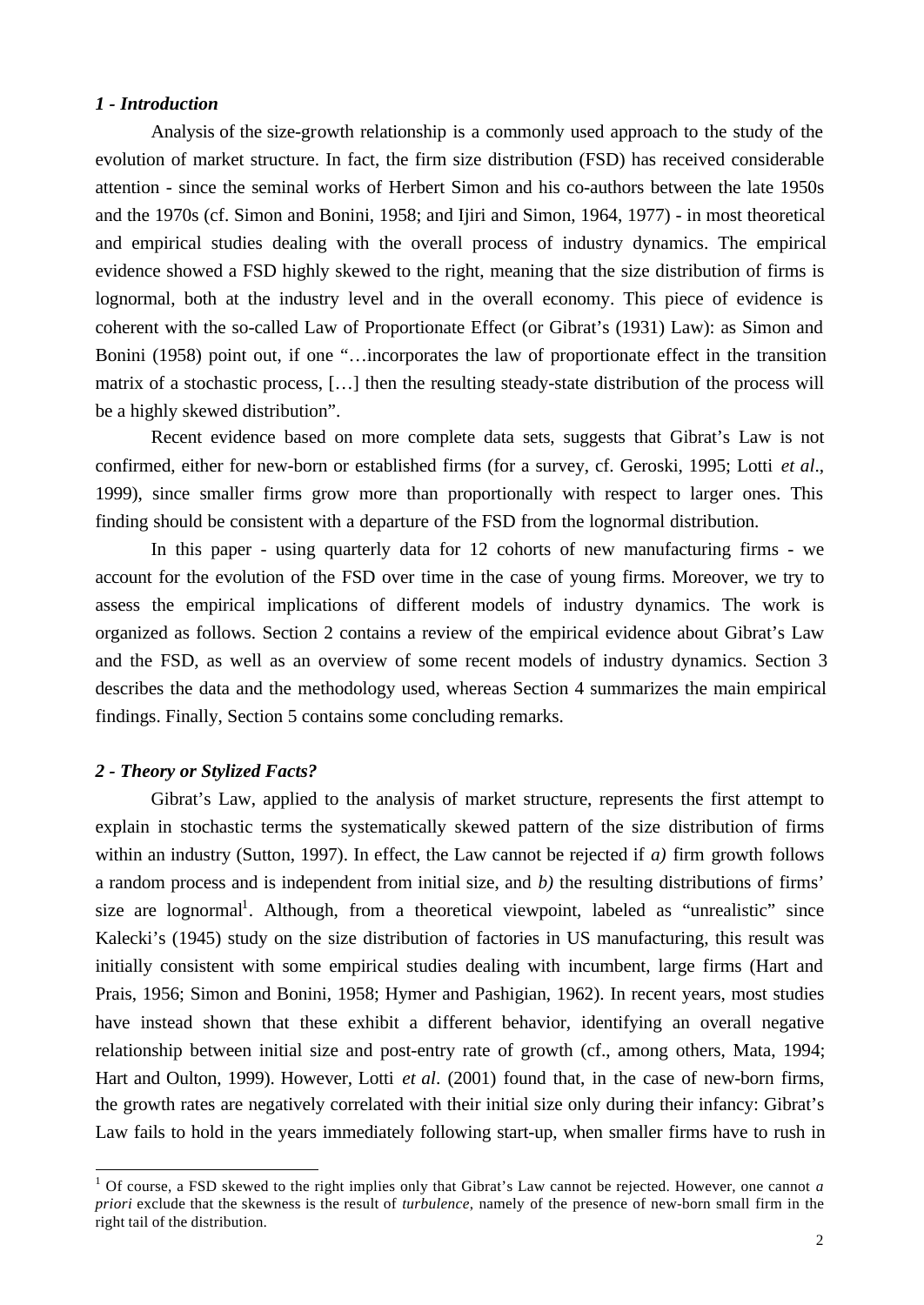## *1 - Introduction*

Analysis of the size-growth relationship is a commonly used approach to the study of the evolution of market structure. In fact, the firm size distribution (FSD) has received considerable attention - since the seminal works of Herbert Simon and his co-authors between the late 1950s and the 1970s (cf. Simon and Bonini, 1958; and Ijiri and Simon, 1964, 1977) - in most theoretical and empirical studies dealing with the overall process of industry dynamics. The empirical evidence showed a FSD highly skewed to the right, meaning that the size distribution of firms is lognormal, both at the industry level and in the overall economy. This piece of evidence is coherent with the so-called Law of Proportionate Effect (or Gibrat's (1931) Law): as Simon and Bonini (1958) point out, if one "…incorporates the law of proportionate effect in the transition matrix of a stochastic process, […] then the resulting steady-state distribution of the process will be a highly skewed distribution".

Recent evidence based on more complete data sets, suggests that Gibrat's Law is not confirmed, either for new-born or established firms (for a survey, cf. Geroski, 1995; Lotti *et al*., 1999), since smaller firms grow more than proportionally with respect to larger ones. This finding should be consistent with a departure of the FSD from the lognormal distribution.

In this paper - using quarterly data for 12 cohorts of new manufacturing firms - we account for the evolution of the FSD over time in the case of young firms. Moreover, we try to assess the empirical implications of different models of industry dynamics. The work is organized as follows. Section 2 contains a review of the empirical evidence about Gibrat's Law and the FSD, as well as an overview of some recent models of industry dynamics. Section 3 describes the data and the methodology used, whereas Section 4 summarizes the main empirical findings. Finally, Section 5 contains some concluding remarks.

# *2 - Theory or Stylized Facts?*

l

Gibrat's Law, applied to the analysis of market structure, represents the first attempt to explain in stochastic terms the systematically skewed pattern of the size distribution of firms within an industry (Sutton, 1997). In effect, the Law cannot be rejected if *a)* firm growth follows a random process and is independent from initial size, and *b)* the resulting distributions of firms' size are lognormal<sup>1</sup>. Although, from a theoretical viewpoint, labeled as "unrealistic" since Kalecki's (1945) study on the size distribution of factories in US manufacturing, this result was initially consistent with some empirical studies dealing with incumbent, large firms (Hart and Prais, 1956; Simon and Bonini, 1958; Hymer and Pashigian, 1962). In recent years, most studies have instead shown that these exhibit a different behavior, identifying an overall negative relationship between initial size and post-entry rate of growth (cf., among others, Mata, 1994; Hart and Oulton, 1999). However, Lotti *et al*. (2001) found that, in the case of new-born firms, the growth rates are negatively correlated with their initial size only during their infancy: Gibrat's Law fails to hold in the years immediately following start-up, when smaller firms have to rush in

<sup>&</sup>lt;sup>1</sup> Of course, a FSD skewed to the right implies only that Gibrat's Law cannot be rejected. However, one cannot *a priori* exclude that the skewness is the result of *turbulence*, namely of the presence of new-born small firm in the right tail of the distribution.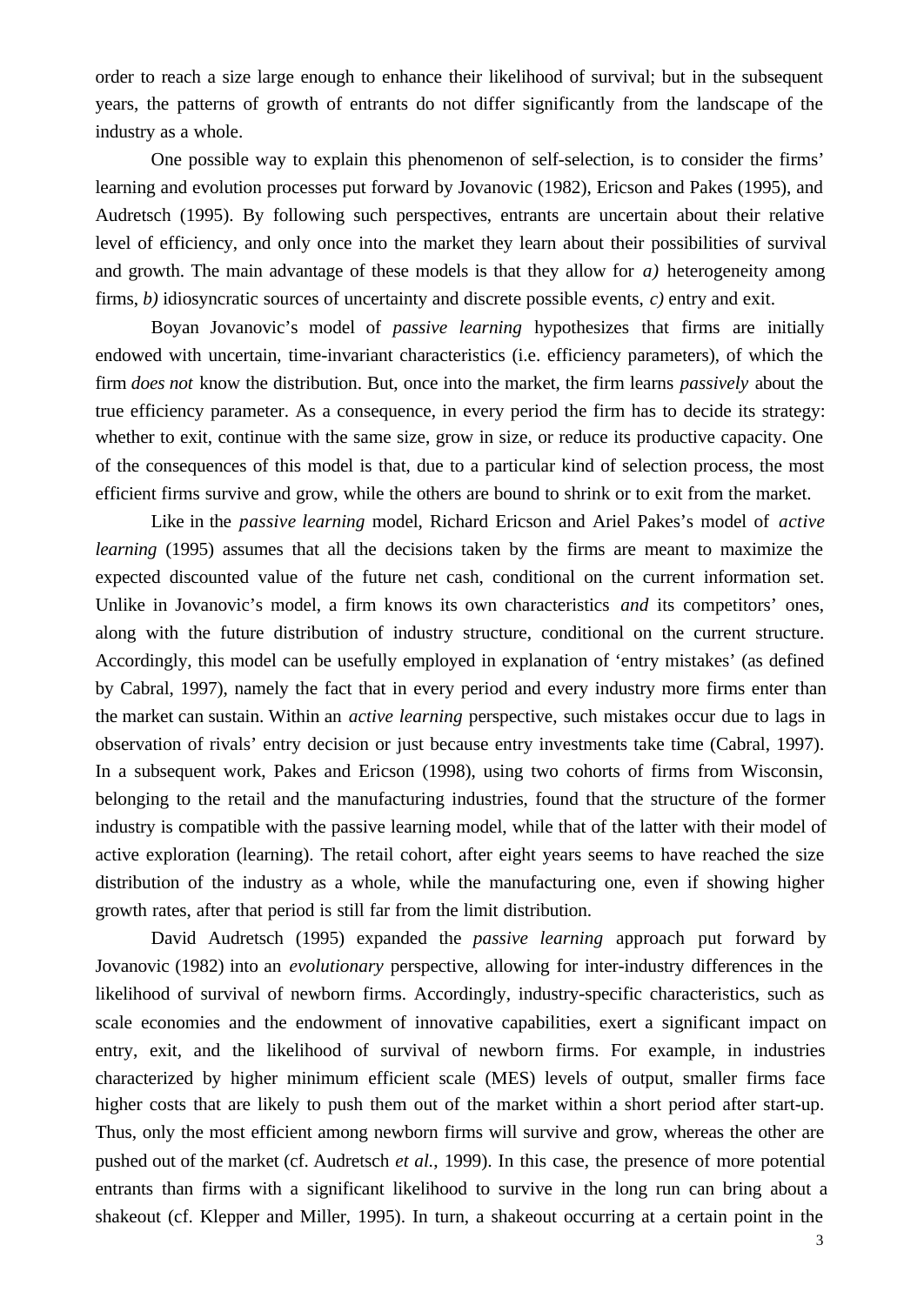order to reach a size large enough to enhance their likelihood of survival; but in the subsequent years, the patterns of growth of entrants do not differ significantly from the landscape of the industry as a whole.

One possible way to explain this phenomenon of self-selection, is to consider the firms' learning and evolution processes put forward by Jovanovic (1982), Ericson and Pakes (1995), and Audretsch (1995). By following such perspectives, entrants are uncertain about their relative level of efficiency, and only once into the market they learn about their possibilities of survival and growth. The main advantage of these models is that they allow for *a)* heterogeneity among firms, *b)* idiosyncratic sources of uncertainty and discrete possible events, *c)* entry and exit.

Boyan Jovanovic's model of *passive learning* hypothesizes that firms are initially endowed with uncertain, time-invariant characteristics (i.e. efficiency parameters), of which the firm *does not* know the distribution. But, once into the market, the firm learns *passively* about the true efficiency parameter. As a consequence, in every period the firm has to decide its strategy: whether to exit, continue with the same size, grow in size, or reduce its productive capacity. One of the consequences of this model is that, due to a particular kind of selection process, the most efficient firms survive and grow, while the others are bound to shrink or to exit from the market.

Like in the *passive learning* model, Richard Ericson and Ariel Pakes's model of *active learning* (1995) assumes that all the decisions taken by the firms are meant to maximize the expected discounted value of the future net cash, conditional on the current information set. Unlike in Jovanovic's model, a firm knows its own characteristics *and* its competitors' ones, along with the future distribution of industry structure, conditional on the current structure. Accordingly, this model can be usefully employed in explanation of 'entry mistakes' (as defined by Cabral, 1997), namely the fact that in every period and every industry more firms enter than the market can sustain. Within an *active learning* perspective, such mistakes occur due to lags in observation of rivals' entry decision or just because entry investments take time (Cabral, 1997). In a subsequent work, Pakes and Ericson (1998), using two cohorts of firms from Wisconsin, belonging to the retail and the manufacturing industries, found that the structure of the former industry is compatible with the passive learning model, while that of the latter with their model of active exploration (learning). The retail cohort, after eight years seems to have reached the size distribution of the industry as a whole, while the manufacturing one, even if showing higher growth rates, after that period is still far from the limit distribution.

David Audretsch (1995) expanded the *passive learning* approach put forward by Jovanovic (1982) into an *evolutionary* perspective, allowing for inter-industry differences in the likelihood of survival of newborn firms. Accordingly, industry-specific characteristics, such as scale economies and the endowment of innovative capabilities, exert a significant impact on entry, exit, and the likelihood of survival of newborn firms. For example, in industries characterized by higher minimum efficient scale (MES) levels of output, smaller firms face higher costs that are likely to push them out of the market within a short period after start-up. Thus, only the most efficient among newborn firms will survive and grow, whereas the other are pushed out of the market (cf. Audretsch *et al.*, 1999). In this case, the presence of more potential entrants than firms with a significant likelihood to survive in the long run can bring about a shakeout (cf. Klepper and Miller, 1995). In turn, a shakeout occurring at a certain point in the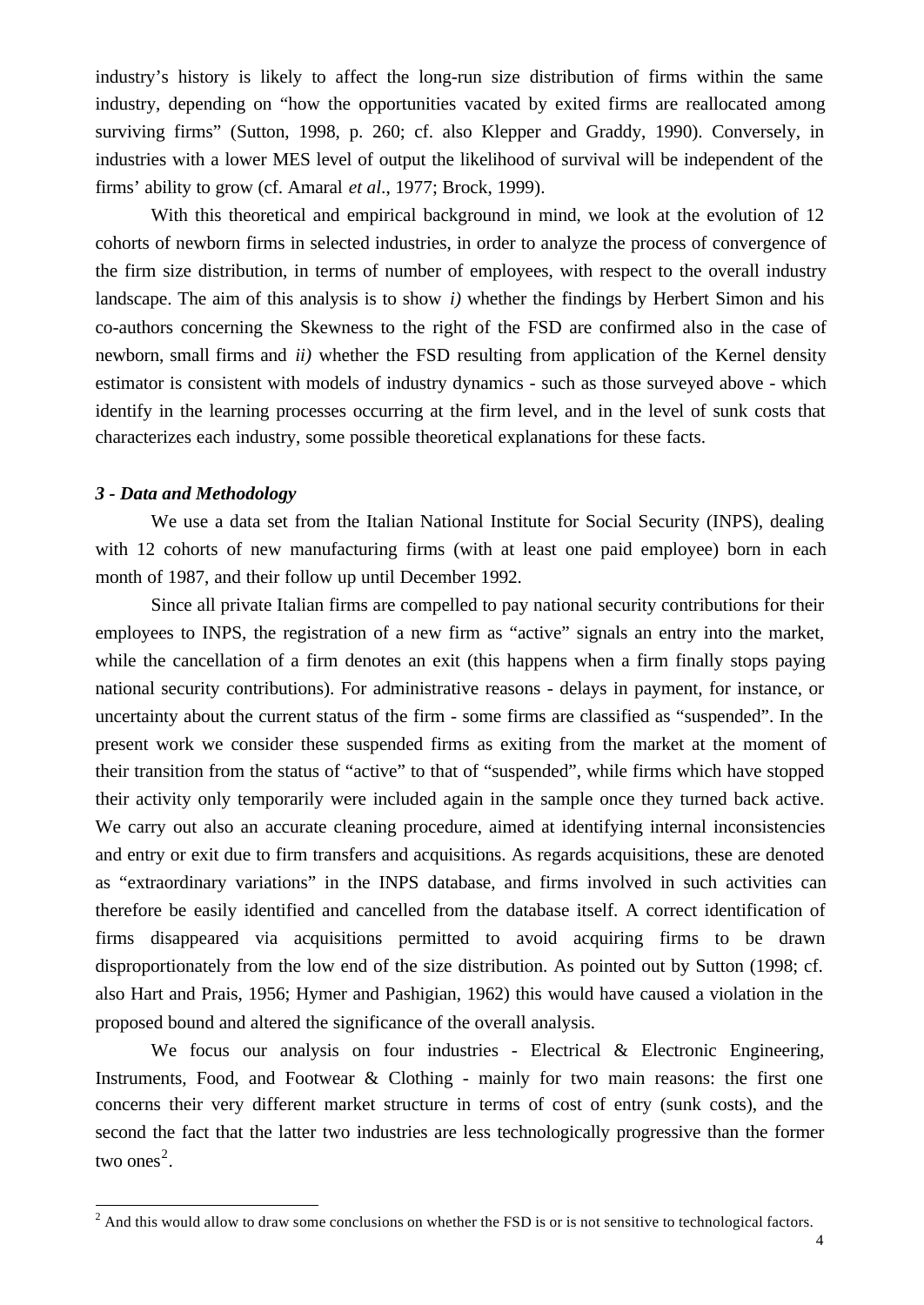industry's history is likely to affect the long-run size distribution of firms within the same industry, depending on "how the opportunities vacated by exited firms are reallocated among surviving firms" (Sutton, 1998, p. 260; cf. also Klepper and Graddy, 1990). Conversely, in industries with a lower MES level of output the likelihood of survival will be independent of the firms' ability to grow (cf. Amaral *et al*., 1977; Brock, 1999).

With this theoretical and empirical background in mind, we look at the evolution of 12 cohorts of newborn firms in selected industries, in order to analyze the process of convergence of the firm size distribution, in terms of number of employees, with respect to the overall industry landscape. The aim of this analysis is to show *i)* whether the findings by Herbert Simon and his co-authors concerning the Skewness to the right of the FSD are confirmed also in the case of newborn, small firms and *ii)* whether the FSD resulting from application of the Kernel density estimator is consistent with models of industry dynamics - such as those surveyed above - which identify in the learning processes occurring at the firm level, and in the level of sunk costs that characterizes each industry, some possible theoretical explanations for these facts.

## *3 - Data and Methodology*

We use a data set from the Italian National Institute for Social Security (INPS), dealing with 12 cohorts of new manufacturing firms (with at least one paid employee) born in each month of 1987, and their follow up until December 1992.

Since all private Italian firms are compelled to pay national security contributions for their employees to INPS, the registration of a new firm as "active" signals an entry into the market, while the cancellation of a firm denotes an exit (this happens when a firm finally stops paying national security contributions). For administrative reasons - delays in payment, for instance, or uncertainty about the current status of the firm - some firms are classified as "suspended". In the present work we consider these suspended firms as exiting from the market at the moment of their transition from the status of "active" to that of "suspended", while firms which have stopped their activity only temporarily were included again in the sample once they turned back active. We carry out also an accurate cleaning procedure, aimed at identifying internal inconsistencies and entry or exit due to firm transfers and acquisitions. As regards acquisitions, these are denoted as "extraordinary variations" in the INPS database, and firms involved in such activities can therefore be easily identified and cancelled from the database itself. A correct identification of firms disappeared via acquisitions permitted to avoid acquiring firms to be drawn disproportionately from the low end of the size distribution. As pointed out by Sutton (1998; cf. also Hart and Prais, 1956; Hymer and Pashigian, 1962) this would have caused a violation in the proposed bound and altered the significance of the overall analysis.

We focus our analysis on four industries - Electrical & Electronic Engineering, Instruments, Food, and Footwear & Clothing - mainly for two main reasons: the first one concerns their very different market structure in terms of cost of entry (sunk costs), and the second the fact that the latter two industries are less technologically progressive than the former two ones<sup>2</sup>.

<sup>&</sup>lt;sup>2</sup> And this would allow to draw some conclusions on whether the FSD is or is not sensitive to technological factors.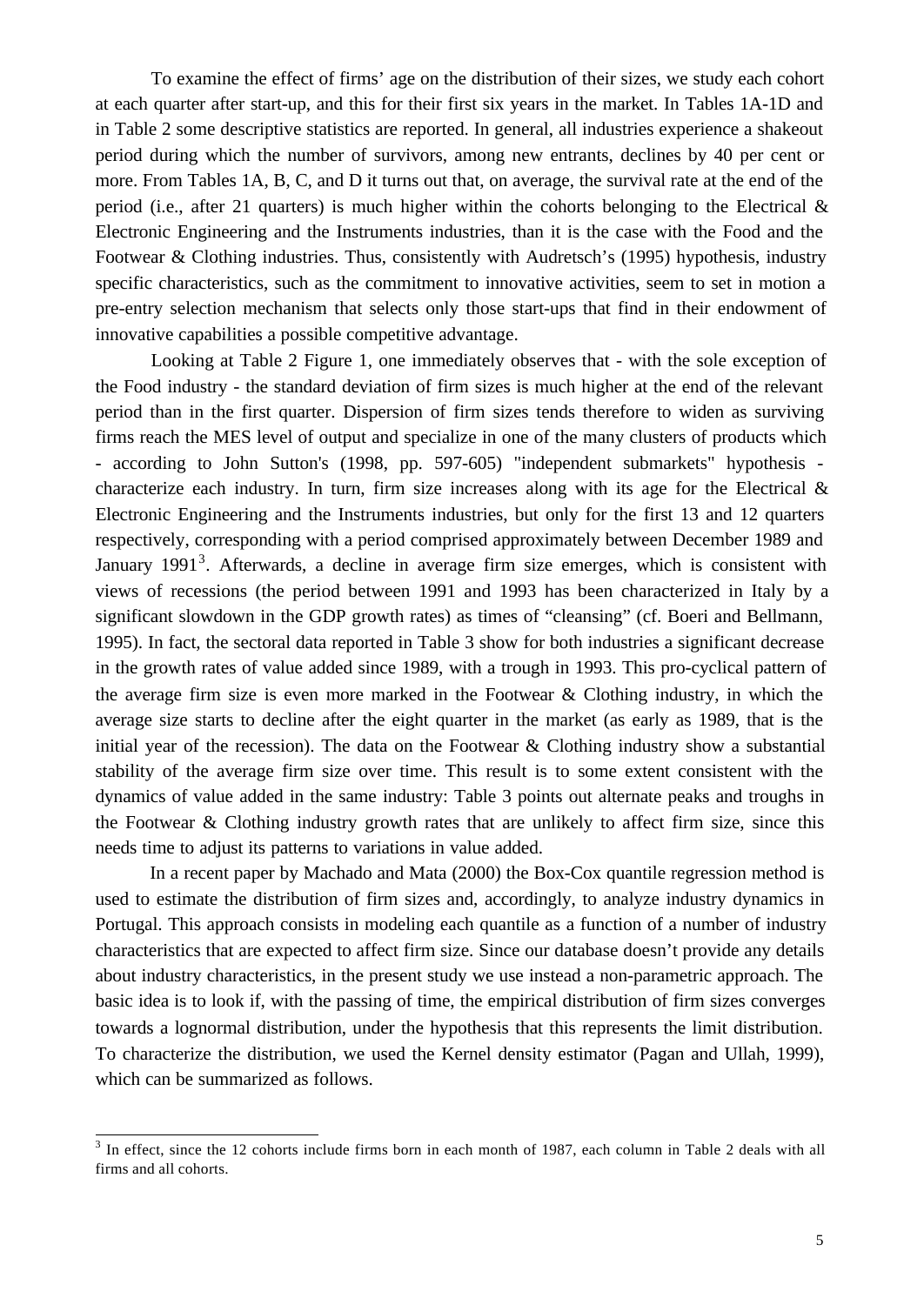To examine the effect of firms' age on the distribution of their sizes, we study each cohort at each quarter after start-up, and this for their first six years in the market. In Tables 1A-1D and in Table 2 some descriptive statistics are reported. In general, all industries experience a shakeout period during which the number of survivors, among new entrants, declines by 40 per cent or more. From Tables 1A, B, C, and D it turns out that, on average, the survival rate at the end of the period (i.e., after 21 quarters) is much higher within the cohorts belonging to the Electrical  $\&$ Electronic Engineering and the Instruments industries, than it is the case with the Food and the Footwear & Clothing industries. Thus, consistently with Audretsch's (1995) hypothesis, industry specific characteristics, such as the commitment to innovative activities, seem to set in motion a pre-entry selection mechanism that selects only those start-ups that find in their endowment of innovative capabilities a possible competitive advantage.

Looking at Table 2 Figure 1, one immediately observes that - with the sole exception of the Food industry - the standard deviation of firm sizes is much higher at the end of the relevant period than in the first quarter. Dispersion of firm sizes tends therefore to widen as surviving firms reach the MES level of output and specialize in one of the many clusters of products which - according to John Sutton's (1998, pp. 597-605) "independent submarkets" hypothesis characterize each industry. In turn, firm size increases along with its age for the Electrical  $\&$ Electronic Engineering and the Instruments industries, but only for the first 13 and 12 quarters respectively, corresponding with a period comprised approximately between December 1989 and January 1991<sup>3</sup>. Afterwards, a decline in average firm size emerges, which is consistent with views of recessions (the period between 1991 and 1993 has been characterized in Italy by a significant slowdown in the GDP growth rates) as times of "cleansing" (cf. Boeri and Bellmann, 1995). In fact, the sectoral data reported in Table 3 show for both industries a significant decrease in the growth rates of value added since 1989, with a trough in 1993. This pro-cyclical pattern of the average firm size is even more marked in the Footwear & Clothing industry, in which the average size starts to decline after the eight quarter in the market (as early as 1989, that is the initial year of the recession). The data on the Footwear  $\&$  Clothing industry show a substantial stability of the average firm size over time. This result is to some extent consistent with the dynamics of value added in the same industry: Table 3 points out alternate peaks and troughs in the Footwear & Clothing industry growth rates that are unlikely to affect firm size, since this needs time to adjust its patterns to variations in value added.

In a recent paper by Machado and Mata (2000) the Box-Cox quantile regression method is used to estimate the distribution of firm sizes and, accordingly, to analyze industry dynamics in Portugal. This approach consists in modeling each quantile as a function of a number of industry characteristics that are expected to affect firm size. Since our database doesn't provide any details about industry characteristics, in the present study we use instead a non-parametric approach. The basic idea is to look if, with the passing of time, the empirical distribution of firm sizes converges towards a lognormal distribution, under the hypothesis that this represents the limit distribution. To characterize the distribution, we used the Kernel density estimator (Pagan and Ullah, 1999), which can be summarized as follows.

<sup>&</sup>lt;sup>3</sup> In effect, since the 12 cohorts include firms born in each month of 1987, each column in Table 2 deals with all firms and all cohorts.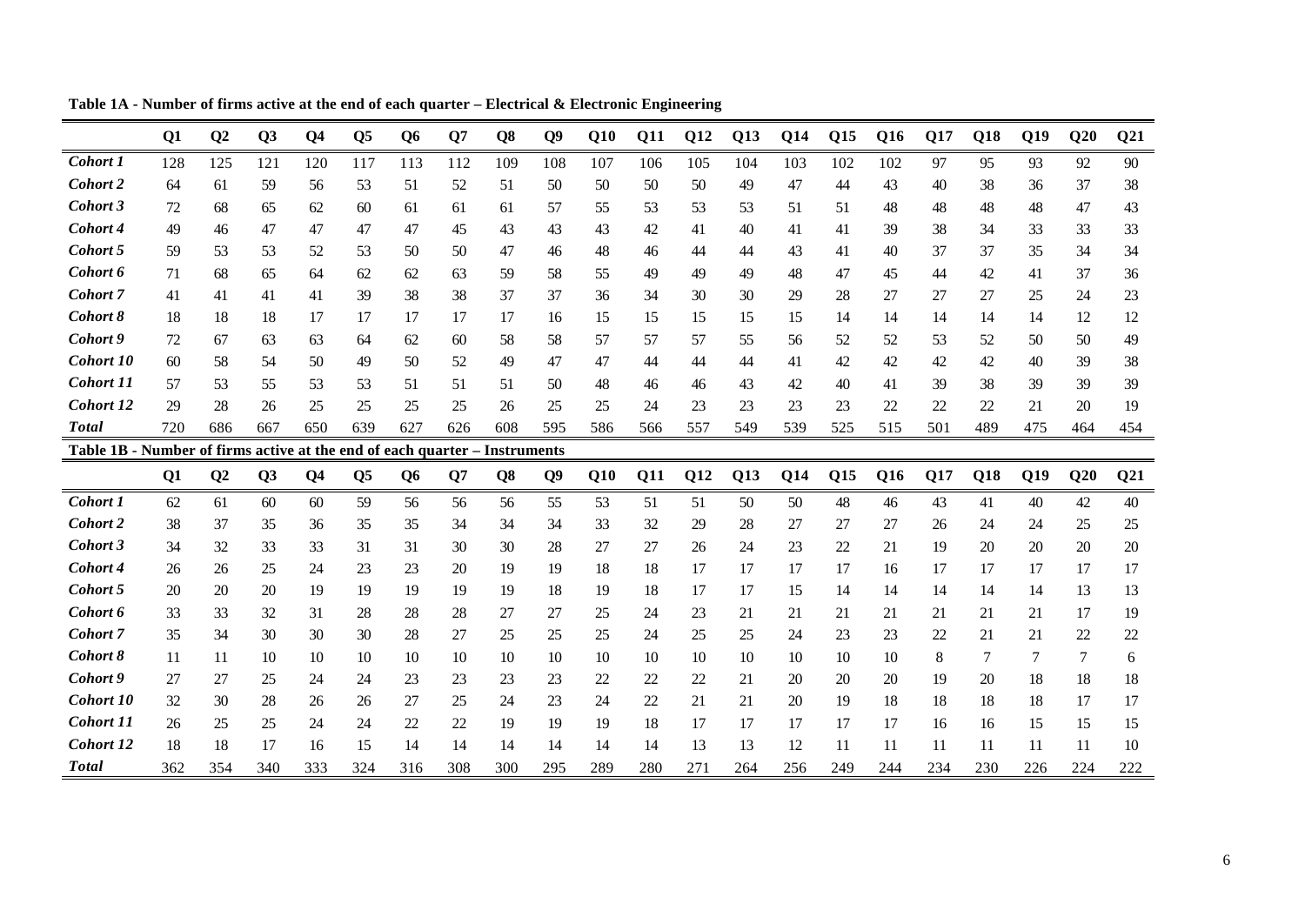|                                                                            | Q1             | Q <sub>2</sub> | Q3  | Q <sub>4</sub> | Q <sub>5</sub> | Q <sub>6</sub> | O7  | Q <sub>8</sub> | <b>O</b> <sup>9</sup> | Q10        | Q11 | Q12 | Q13 | <b>Q14</b> | Q15 | Q16 | Q17 | Q18 | Q19 | Q20 | Q <sub>21</sub> |
|----------------------------------------------------------------------------|----------------|----------------|-----|----------------|----------------|----------------|-----|----------------|-----------------------|------------|-----|-----|-----|------------|-----|-----|-----|-----|-----|-----|-----------------|
| Cohort 1                                                                   | 128            | 125            | 121 | 120            | 117            | 113            | 112 | 109            | 108                   | 107        | 106 | 105 | 104 | 103        | 102 | 102 | 97  | 95  | 93  | 92  | 90              |
| Cohort 2                                                                   | 64             | 61             | 59  | 56             | 53             | 51             | 52  | 51             | 50                    | 50         | 50  | 50  | 49  | 47         | 44  | 43  | 40  | 38  | 36  | 37  | 38              |
| Cohort 3                                                                   | 72             | 68             | 65  | 62             | 60             | 61             | 61  | 61             | 57                    | 55         | 53  | 53  | 53  | 51         | 51  | 48  | 48  | 48  | 48  | 47  | 43              |
| Cohort 4                                                                   | 49             | 46             | 47  | 47             | 47             | 47             | 45  | 43             | 43                    | 43         | 42  | 41  | 40  | 41         | 41  | 39  | 38  | 34  | 33  | 33  | 33              |
| Cohort 5                                                                   | 59             | 53             | 53  | 52             | 53             | 50             | 50  | 47             | 46                    | 48         | 46  | 44  | 44  | 43         | 41  | 40  | 37  | 37  | 35  | 34  | 34              |
| Cohort 6                                                                   | 71             | 68             | 65  | 64             | 62             | 62             | 63  | 59             | 58                    | 55         | 49  | 49  | 49  | 48         | 47  | 45  | 44  | 42  | 41  | 37  | 36              |
| Cohort 7                                                                   | 41             | 41             | 41  | 41             | 39             | 38             | 38  | 37             | 37                    | 36         | 34  | 30  | 30  | 29         | 28  | 27  | 27  | 27  | 25  | 24  | 23              |
| Cohort 8                                                                   | 18             | 18             | 18  | 17             | 17             | 17             | 17  | 17             | 16                    | 15         | 15  | 15  | 15  | 15         | 14  | 14  | 14  | 14  | 14  | 12  | 12              |
| Cohort 9                                                                   | 72             | 67             | 63  | 63             | 64             | 62             | 60  | 58             | 58                    | 57         | 57  | 57  | 55  | 56         | 52  | 52  | 53  | 52  | 50  | 50  | 49              |
| Cohort 10                                                                  | 60             | 58             | 54  | 50             | 49             | 50             | 52  | 49             | 47                    | 47         | 44  | 44  | 44  | 41         | 42  | 42  | 42  | 42  | 40  | 39  | 38              |
| <b>Cohort 11</b>                                                           | 57             | 53             | 55  | 53             | 53             | 51             | 51  | 51             | 50                    | 48         | 46  | 46  | 43  | 42         | 40  | 41  | 39  | 38  | 39  | 39  | 39              |
| <b>Cohort 12</b>                                                           | 29             | 28             | 26  | 25             | 25             | 25             | 25  | 26             | 25                    | 25         | 24  | 23  | 23  | 23         | 23  | 22  | 22  | 22  | 21  | 20  | 19              |
| <b>Total</b>                                                               | 720            | 686            | 667 | 650            | 639            | 627            | 626 | 608            | 595                   | 586        | 566 | 557 | 549 | 539        | 525 | 515 | 501 | 489 | 475 | 464 | 454             |
| Table 1B - Number of firms active at the end of each quarter - Instruments |                |                |     |                |                |                |     |                |                       |            |     |     |     |            |     |     |     |     |     |     |                 |
|                                                                            | Q <sub>1</sub> | Q <sub>2</sub> | Q3  | Q4             | Q <sub>5</sub> | Q <sub>6</sub> | Q7  | Q <sub>8</sub> | Q <sub>9</sub>        | <b>Q10</b> | Q11 | Q12 | Q13 | Q14        | Q15 | Q16 | Q17 | Q18 | Q19 | Q20 | Q <sub>21</sub> |
| Cohort 1                                                                   | 62             | 61             | 60  | 60             | 59             | 56             | 56  | 56             | 55                    | 53         | 51  | 51  | 50  | 50         | 48  | 46  | 43  | 41  | 40  | 42  | 40              |
| Cohort 2                                                                   | 38             | 37             | 35  | 36             | 35             | 35             | 34  | 34             | 34                    | 33         | 32  | 29  | 28  | 27         | 27  | 27  | 26  | 24  | 24  | 25  | 25              |
| Cohort 3                                                                   | 34             | 32             | 33  | 33             | 31             | 31             | 30  | 30             | 28                    | 27         | 27  | 26  | 24  | 23         | 22  | 21  | 19  | 20  | 20  | 20  | 20              |
| Cohort 4                                                                   | 26             | 26             | 25  | 24             | 23             | 23             | 20  | 19             | 19                    | 18         | 18  | 17  | 17  | 17         | 17  | 16  | 17  | 17  | 17  | 17  | 17              |
| Cohort 5                                                                   | 20             | 20             | 20  | 19             | 19             | 19             | 19  | 19             | 18                    | 19         | 18  | 17  | 17  | 15         | 14  | 14  | 14  | 14  | 14  | 13  | 13              |
| Cohort 6                                                                   | 33             | 33             | 32  | 31             | 28             | 28             | 28  | 27             | 27                    | 25         | 24  | 23  | 21  | 21         | 21  | 21  | 21  | 21  | 21  | 17  | 19              |
| Cohort 7                                                                   | 35             | 34             | 30  | 30             | 30             | 28             | 27  | 25             | 25                    | 25         | 24  | 25  | 25  | 24         | 23  | 23  | 22  | 21  | 21  | 22  | 22              |
| Cohort 8                                                                   | 11             | 11             | 10  | 10             | 10             | 10             | 10  | 10             | 10                    | 10         | 10  | 10  | 10  | 10         | 10  | 10  | 8   | 7   | 7   | 7   | 6               |
| Cohort 9                                                                   | 27             | 27             | 25  | 24             | 24             | 23             | 23  | 23             | 23                    | 22         | 22  | 22  | 21  | 20         | 20  | 20  | 19  | 20  | 18  | 18  | 18              |
| Cohort 10                                                                  | 32             | 30             | 28  | 26             | 26             | 27             | 25  | 24             | 23                    | 24         | 22  | 21  | 21  | 20         | 19  | 18  | 18  | 18  | 18  | 17  | 17              |
| Cohort 11                                                                  | 26             | 25             | 25  | 24             | 24             | 22             | 22  | 19             | 19                    | 19         | 18  | 17  | 17  | 17         | 17  | 17  | 16  | 16  | 15  | 15  | 15              |
| <b>Cohort 12</b>                                                           | 18             | 18             | 17  | 16             | 15             | 14             | 14  | 14             | 14                    | 14         | 14  | 13  | 13  | 12         | 11  | 11  | 11  | 11  | 11  | 11  | 10              |
| <b>Total</b>                                                               | 362            | 354            | 340 | 333            | 324            | 316            | 308 | 300            | 295                   | 289        | 280 | 271 | 264 | 256        | 249 | 244 | 234 | 230 | 226 | 224 | 222             |

**Table 1A - Number of firms active at the end of each quarter – Electrical & Electronic Engineering**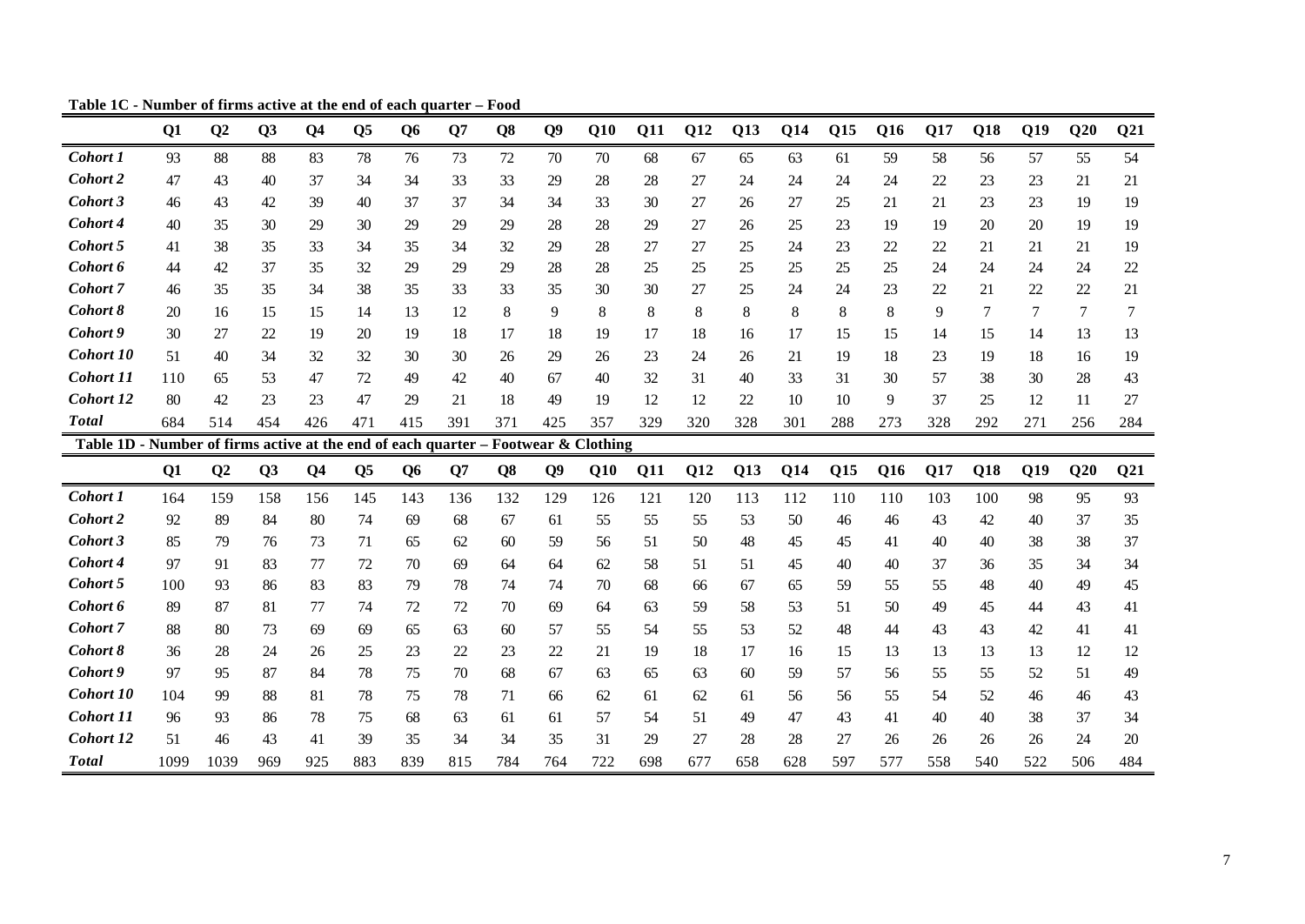|                                                              | Q1   | Q <sub>2</sub> | Q3             | <b>O4</b>      | Q <sub>5</sub> | <b>O6</b>      | O7  | Q <sub>8</sub> | $\overline{O9}$ | Q10                     | <b>Q11</b> | <b>Q12</b> | Q13 | <b>Q14</b> | Q15 | Q16 | Q17 | Q18    | Q19 | Q20 | Q <sub>21</sub> |
|--------------------------------------------------------------|------|----------------|----------------|----------------|----------------|----------------|-----|----------------|-----------------|-------------------------|------------|------------|-----|------------|-----|-----|-----|--------|-----|-----|-----------------|
| <b>Cohort 1</b>                                              | 93   | 88             | 88             | 83             | 78             | 76             | 73  | 72             | 70              | 70                      | 68         | 67         | 65  | 63         | 61  | 59  | 58  | 56     | 57  | 55  | 54              |
| Cohort 2                                                     | 47   | 43             | 40             | 37             | 34             | 34             | 33  | 33             | 29              | 28                      | 28         | 27         | 24  | 24         | 24  | 24  | 22  | 23     | 23  | 21  | 21              |
| Cohort 3                                                     | 46   | 43             | 42             | 39             | 40             | 37             | 37  | 34             | 34              | 33                      | 30         | 27         | 26  | 27         | 25  | 21  | 21  | 23     | 23  | 19  | 19              |
| Cohort 4                                                     | 40   | 35             | 30             | 29             | 30             | 29             | 29  | 29             | 28              | 28                      | 29         | 27         | 26  | 25         | 23  | 19  | 19  | 20     | 20  | 19  | 19              |
| Cohort 5                                                     | 41   | 38             | 35             | 33             | 34             | 35             | 34  | 32             | 29              | 28                      | 27         | 27         | 25  | 24         | 23  | 22  | 22  | 21     | 21  | 21  | 19              |
| Cohort 6                                                     | 44   | 42             | 37             | 35             | 32             | 29             | 29  | 29             | 28              | 28                      | 25         | 25         | 25  | 25         | 25  | 25  | 24  | 24     | 24  | 24  | 22              |
| Cohort 7                                                     | 46   | 35             | 35             | 34             | 38             | 35             | 33  | 33             | 35              | 30                      | 30         | 27         | 25  | 24         | 24  | 23  | 22  | 21     | 22  | 22  | 21              |
| Cohort 8                                                     | 20   | 16             | 15             | 15             | 14             | 13             | 12  | 8              | 9               | 8                       | 8          | 8          | 8   | 8          | 8   | 8   | 9   | $\tau$ | 7   | 7   | 7               |
| Cohort 9                                                     | 30   | 27             | 22             | 19             | 20             | 19             | 18  | 17             | 18              | 19                      | 17         | 18         | 16  | 17         | 15  | 15  | 14  | 15     | 14  | 13  | 13              |
| Cohort 10                                                    | 51   | 40             | 34             | 32             | 32             | 30             | 30  | 26             | 29              | 26                      | 23         | 24         | 26  | 21         | 19  | 18  | 23  | 19     | 18  | 16  | 19              |
| Cohort 11                                                    | 110  | 65             | 53             | 47             | 72             | 49             | 42  | 40             | 67              | 40                      | 32         | 31         | 40  | 33         | 31  | 30  | 57  | 38     | 30  | 28  | 43              |
| Cohort 12                                                    | 80   | 42             | 23             | 23             | 47             | 29             | 21  | 18             | 49              | 19                      | 12         | 12         | 22  | 10         | 10  | 9   | 37  | 25     | 12  | 11  | 27              |
| <b>Total</b>                                                 | 684  | 514            | 454            | 426            | 471            | 415            | 391 | 371            | 425             | 357                     | 329        | 320        | 328 | 301        | 288 | 273 | 328 | 292    | 271 | 256 | 284             |
| Table 1D - Number of firms active at the end of each quarter |      |                |                |                |                |                |     |                |                 | $-$ Footwear & Clothing |            |            |     |            |     |     |     |        |     |     |                 |
|                                                              | Q1   | Q <sub>2</sub> | Q <sub>3</sub> | Q <sub>4</sub> | Q <sub>5</sub> | Q <sub>6</sub> | Q7  | Q <sub>8</sub> | Q <sub>9</sub>  | Q10                     | Q11        | Q12        | Q13 | Q14        | Q15 | Q16 | Q17 | Q18    | Q19 | Q20 | Q <sub>21</sub> |
| Cohort 1                                                     | 164  | 159            | 158            | 156            | 145            | 143            | 136 | 132            | 129             | 126                     | 121        | 120        | 113 | 112        | 110 | 110 | 103 | 100    | 98  | 95  | 93              |
| Cohort 2                                                     | 92   | 89             | 84             | 80             | 74             | 69             | 68  | 67             | 61              | 55                      | 55         | 55         | 53  | 50         | 46  | 46  | 43  | 42     | 40  | 37  | 35              |
| Cohort 3                                                     | 85   | 79             | 76             | 73             | 71             | 65             | 62  | 60             | 59              | 56                      | 51         | 50         | 48  | 45         | 45  | 41  | 40  | 40     | 38  | 38  | 37              |
| Cohort 4                                                     | 97   | 91             | 83             | 77             | 72             | 70             | 69  | 64             | 64              | 62                      | 58         | 51         | 51  | 45         | 40  | 40  | 37  | 36     | 35  | 34  | 34              |
| Cohort 5                                                     | 100  | 93             | 86             | 83             | 83             | 79             | 78  | 74             | 74              | 70                      | 68         | 66         | 67  | 65         | 59  | 55  | 55  | 48     | 40  | 49  | 45              |
| Cohort 6                                                     | 89   | 87             | 81             | 77             | 74             | 72             | 72  | 70             | 69              | 64                      | 63         | 59         | 58  | 53         | 51  | 50  | 49  | 45     | 44  | 43  | 41              |
| Cohort 7                                                     | 88   | 80             | 73             | 69             | 69             | 65             | 63  | 60             | 57              | 55                      | 54         | 55         | 53  | 52         | 48  | 44  | 43  | 43     | 42  | 41  | 41              |
| Cohort 8                                                     | 36   | 28             | 24             | 26             | 25             | 23             | 22  | 23             | 22              | 21                      | 19         | 18         | 17  | 16         | 15  | 13  | 13  | 13     | 13  | 12  | 12              |
| Cohort 9                                                     | 97   | 95             | 87             | 84             | 78             | 75             | 70  | 68             | 67              | 63                      | 65         | 63         | 60  | 59         | 57  | 56  | 55  | 55     | 52  | 51  | 49              |
| Cohort 10                                                    | 104  | 99             | 88             | 81             | 78             | 75             | 78  | 71             | 66              | 62                      | 61         | 62         | 61  | 56         | 56  | 55  | 54  | 52     | 46  | 46  | 43              |
| <b>Cohort 11</b>                                             | 96   | 93             | 86             | 78             | 75             | 68             | 63  | 61             | 61              | 57                      | 54         | 51         | 49  | 47         | 43  | 41  | 40  | 40     | 38  | 37  | 34              |
| Cohort 12                                                    | 51   | 46             | 43             | 41             | 39             | 35             | 34  | 34             | 35              | 31                      | 29         | 27         | 28  | 28         | 27  | 26  | 26  | 26     | 26  | 24  | 20              |
| <b>Total</b>                                                 | 1099 | 1039           | 969            | 925            | 883            | 839            | 815 | 784            | 764             | 722                     | 698        | 677        | 658 | 628        | 597 | 577 | 558 | 540    | 522 | 506 | 484             |

**Table 1C - Number of firms active at the end of each quarter – Food**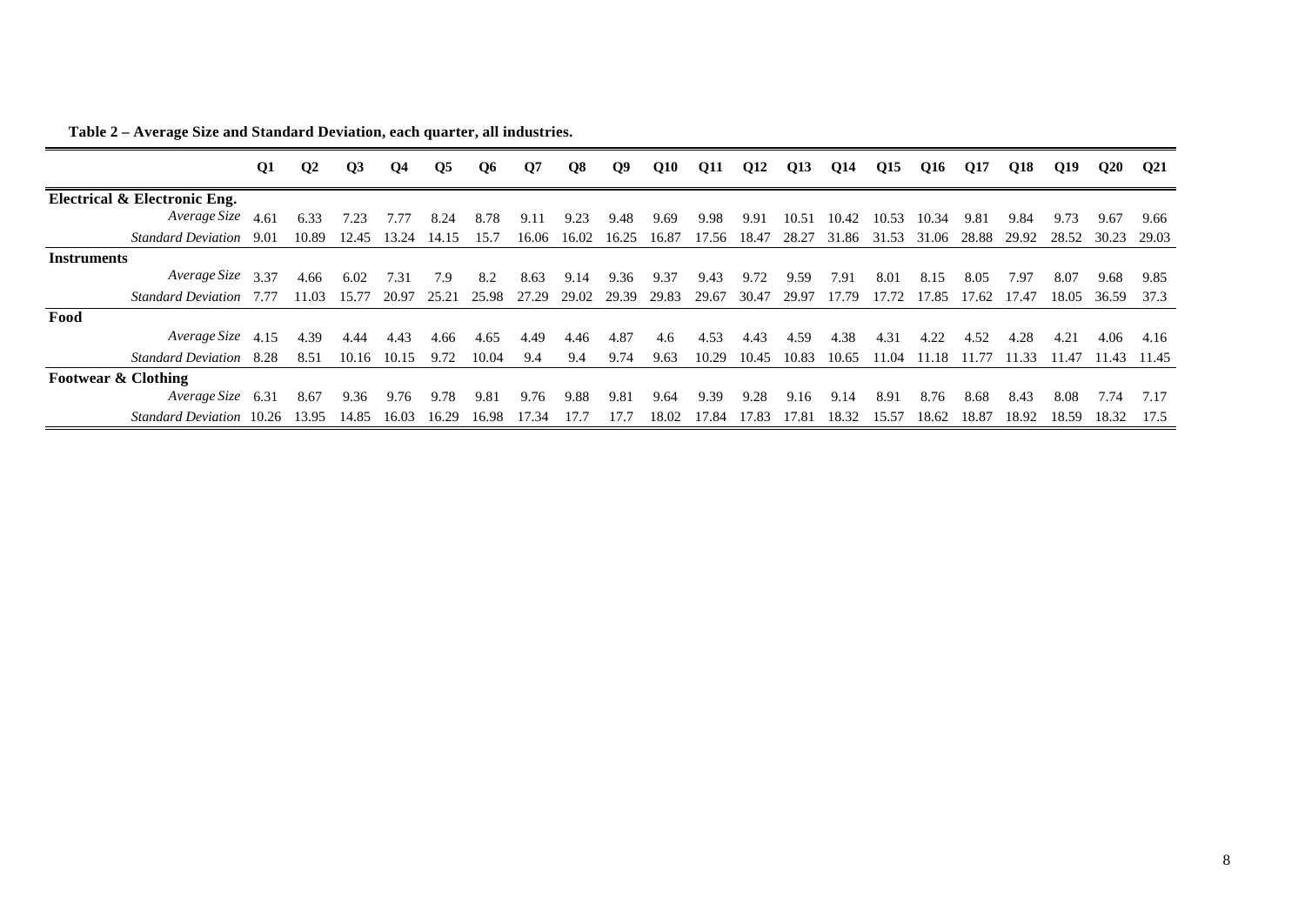|                                | <b>Q1</b> | $\mathbf{Q}$ | $\overline{O3}$ | <b>O4</b> | Q5    | Q6    | Q7    | Q8    | Q9    | Q10   | Q11         | Q12   | Q13   | Q14   | Q15   | Q16   | Q17   | O18   | O19   | Q20   | <b>O21</b> |
|--------------------------------|-----------|--------------|-----------------|-----------|-------|-------|-------|-------|-------|-------|-------------|-------|-------|-------|-------|-------|-------|-------|-------|-------|------------|
| Electrical & Electronic Eng.   |           |              |                 |           |       |       |       |       |       |       |             |       |       |       |       |       |       |       |       |       |            |
| Average Size 4.61              |           | 6.33         | 7.23            | 7.77      | 8.24  | 8.78  | 9.11  | 9.23  | 9.48  | 9.69  | 9.98        | 9.91  | 10.51 | 10.42 | 10.53 | 10.34 | 9.81  | 9.84  | 9.73  | 9.67  | 9.66       |
| Standard Deviation 9.01        |           | 10.89        | 12.45           | 13.24     | 14.15 | 15.7  | 16.06 | 16.02 | 16.25 | 16.87 | 17.56 18.47 |       | 28.27 | 31.86 | 31.53 | 31.06 | 28.88 | 29.92 | 28.52 | 30.23 | 29.03      |
| <b>Instruments</b>             |           |              |                 |           |       |       |       |       |       |       |             |       |       |       |       |       |       |       |       |       |            |
| Average Size 3.37              |           | 4.66         | 6.02            | 7.31      | 7.9   | 8.2   | 8.63  | 9.14  | 9.36  | 9.37  | 9.43        | 9.72  | 9.59  | 7.91  | 8.01  | 8.15  | 8.05  | 7.97  | 8.07  | 9.68  | 9.85       |
| <b>Standard Deviation</b> 7.77 |           | 11.03        | 15.77           | 20.97     | 25.21 | 25.98 | 27.29 | 29.02 | 29.39 | 29.83 | 29.67       | 30.47 | 29.97 | 17.79 | 17.72 | 17.85 | 17.62 | 17.47 | 18.05 | 36.59 | 37.3       |
| Food                           |           |              |                 |           |       |       |       |       |       |       |             |       |       |       |       |       |       |       |       |       |            |
| Average Size 4.15              |           | 4.39         | 4.44            | 4.43      | 4.66  | 4.65  | 4.49  | 4.46  | 4.87  | 4.6   | 4.53        | 4.43  | 4.59  | 4.38  | 4.31  | 4.22  | 4.52  | 4.28  | 4.21  | 4.06  | 4.16       |
| <b>Standard Deviation</b>      | 8.28      | 8.51         | 10.16           | 10.15     | 9.72  | 10.04 | 9.4   | 9.4   | 9.74  | 9.63  | 10.29       | 10.45 | 10.83 | 10.65 | 11.04 | 11.18 | 11.77 | 11.33 | 11.47 | 11.43 | 11.45      |
| <b>Footwear &amp; Clothing</b> |           |              |                 |           |       |       |       |       |       |       |             |       |       |       |       |       |       |       |       |       |            |
| Average Size 6.31              |           | 8.67         | 9.36            | 9.76      | 9.78  | 9.81  | 9.76  | 9.88  | 9.81  | 9.64  | 9.39        | 9.28  | 9.16  | 9.14  | 8.91  | 8.76  | 8.68  | 8.43  | 8.08  | 7.74  | 7.17       |
| Standard Deviation 10.26       |           | 13.95        | 14.85           | 16.03     | 16.29 | 16.98 | 17.34 | 17.7  | 17.7  | 18.02 | 17.84       | 17.83 | 17.81 | 18.32 | 15.57 | 18.62 | 18.87 | 18.92 | 18.59 | 18.32 | 17.5       |

**Table 2 – Average Size and Standard Deviation, each quarter, all industries.**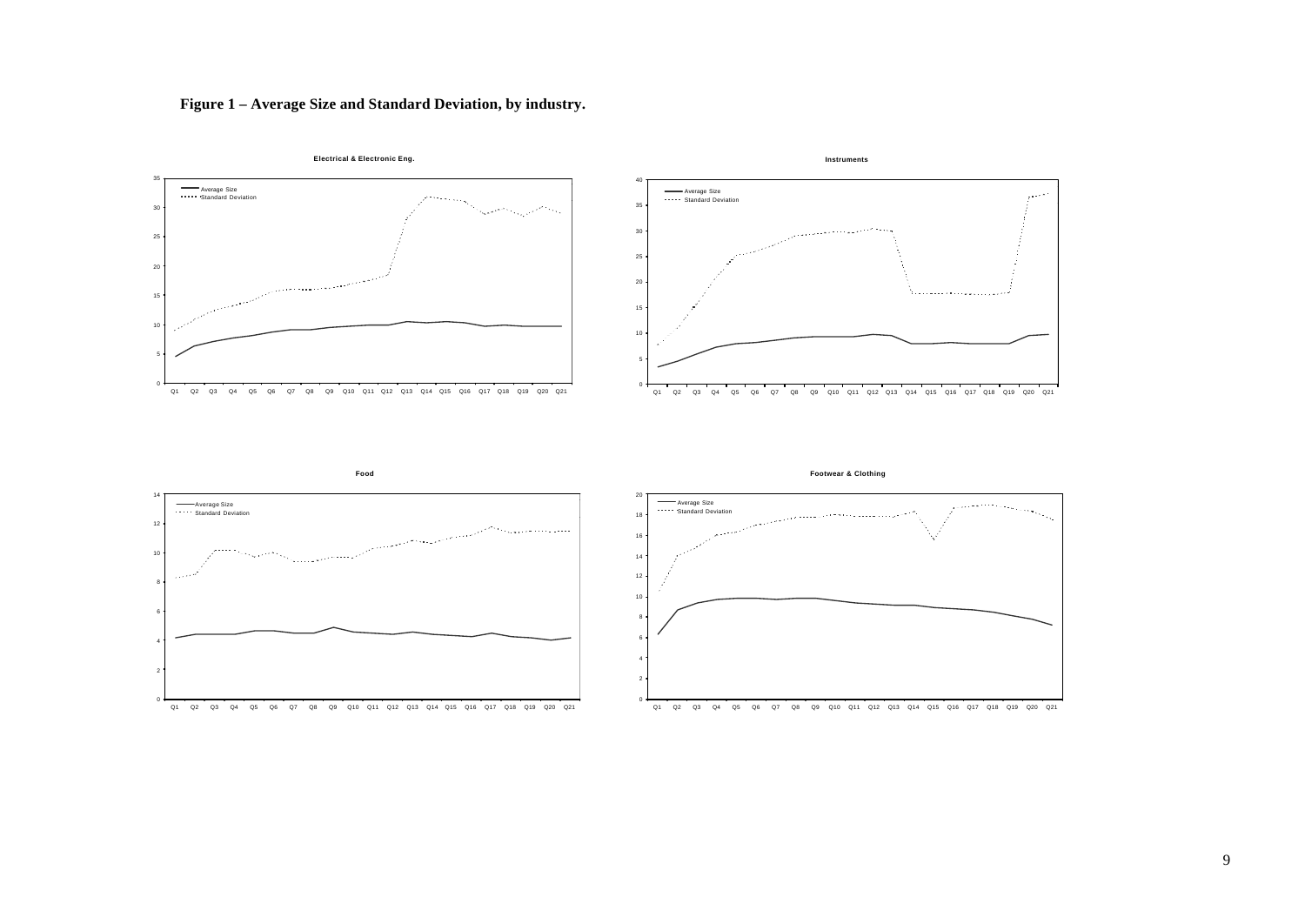

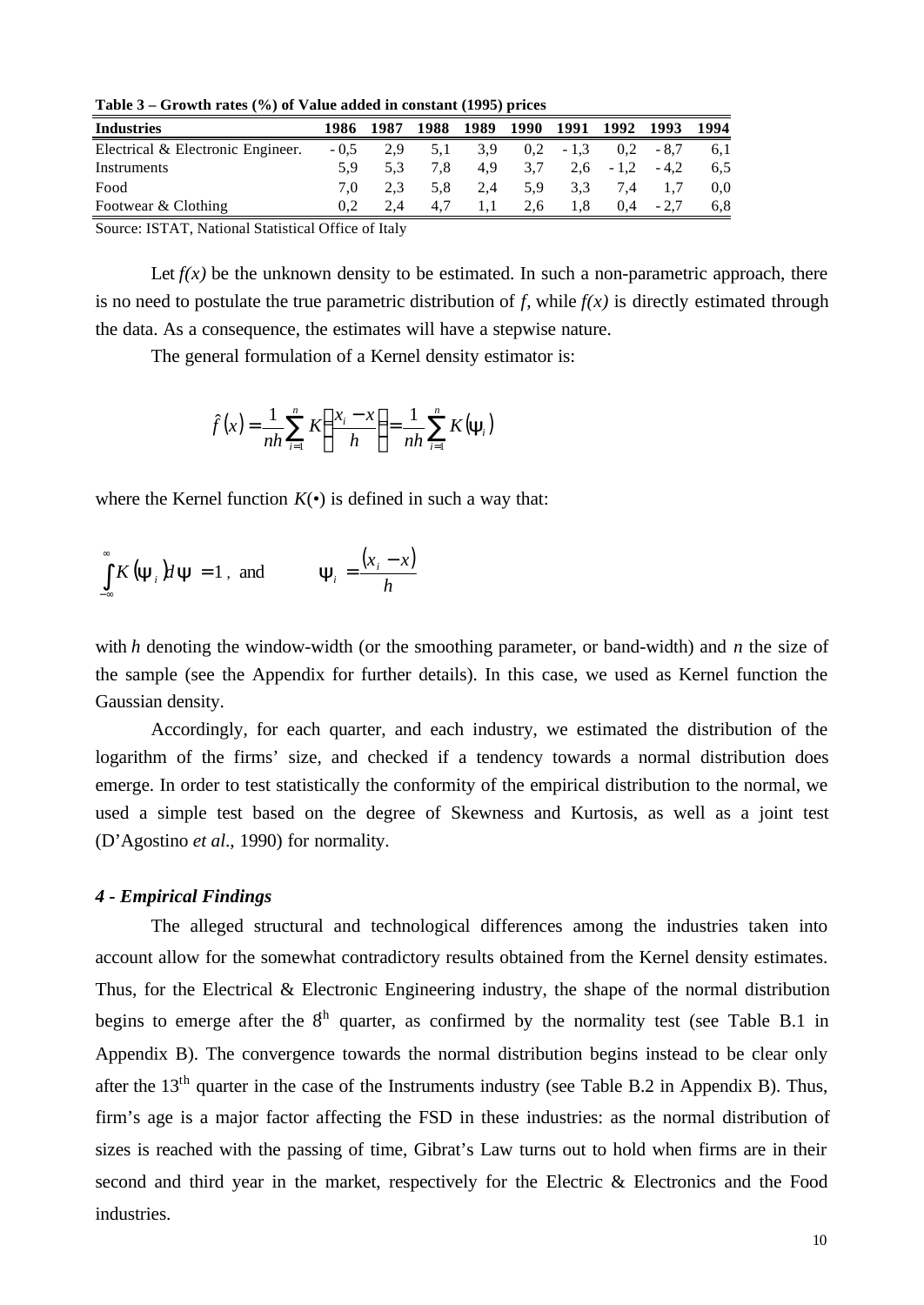**Table 3 – Growth rates (%) of Value added in constant (1995) prices** 

| 1986   | 1987 |     |     |           |        |     |        | 1994                                |
|--------|------|-----|-----|-----------|--------|-----|--------|-------------------------------------|
| $-0.5$ | 2.9  | 5.1 | 3.9 | 0.2       | $-1,3$ |     | $-8.7$ | 6.1                                 |
| 5.9    | 5.3  | 7.8 | 4.9 | 3,7       |        |     | $-4.2$ | 6.5                                 |
| 7.0    | 2.3  | 5.8 | 2.4 | 5.9       | 3.3    | 7.4 |        | 0.0                                 |
|        |      | 4.7 |     | 2,6       | 1.8    | 0.4 | $-2.7$ | 6.8                                 |
|        |      |     |     | 1988 1989 | 1990   |     |        | 1991 1992 1993<br>0.2<br>$2,6 -1,2$ |

Source: ISTAT, National Statistical Office of Italy

Let  $f(x)$  be the unknown density to be estimated. In such a non-parametric approach, there is no need to postulate the true parametric distribution of  $f$ , while  $f(x)$  is directly estimated through the data. As a consequence, the estimates will have a stepwise nature.

The general formulation of a Kernel density estimator is:

$$
\hat{f}(x) = \frac{1}{nh} \sum_{i=1}^{n} K\left(\frac{x_i - x}{h}\right) = \frac{1}{nh} \sum_{i=1}^{n} K(\mathbf{y}_i)
$$

where the Kernel function  $K(\cdot)$  is defined in such a way that:

$$
\int_{-\infty}^{\infty} K(\mathbf{y}_i) d\mathbf{y} = 1, \text{ and } \mathbf{y}_i = \frac{(x_i - x)}{h}
$$

with *h* denoting the window-width (or the smoothing parameter, or band-width) and *n* the size of the sample (see the Appendix for further details). In this case, we used as Kernel function the Gaussian density.

Accordingly, for each quarter, and each industry, we estimated the distribution of the logarithm of the firms' size, and checked if a tendency towards a normal distribution does emerge. In order to test statistically the conformity of the empirical distribution to the normal, we used a simple test based on the degree of Skewness and Kurtosis, as well as a joint test (D'Agostino *et al*., 1990) for normality.

## *4 - Empirical Findings*

The alleged structural and technological differences among the industries taken into account allow for the somewhat contradictory results obtained from the Kernel density estimates. Thus, for the Electrical & Electronic Engineering industry, the shape of the normal distribution begins to emerge after the  $8<sup>th</sup>$  quarter, as confirmed by the normality test (see Table B.1 in Appendix B). The convergence towards the normal distribution begins instead to be clear only after the 13<sup>th</sup> quarter in the case of the Instruments industry (see Table B.2 in Appendix B). Thus, firm's age is a major factor affecting the FSD in these industries: as the normal distribution of sizes is reached with the passing of time, Gibrat's Law turns out to hold when firms are in their second and third year in the market, respectively for the Electric & Electronics and the Food industries.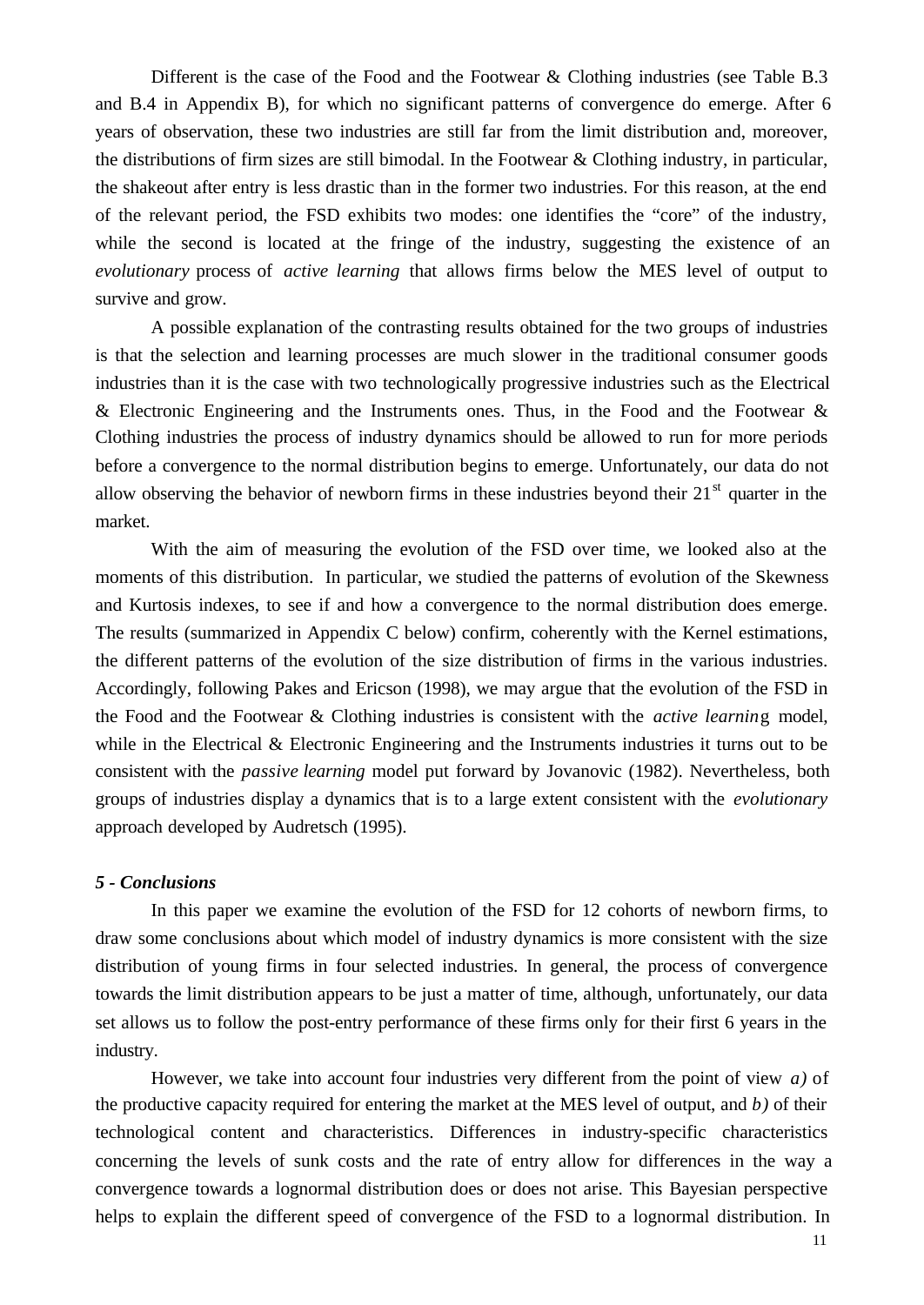Different is the case of the Food and the Footwear & Clothing industries (see Table B.3) and B.4 in Appendix B), for which no significant patterns of convergence do emerge. After 6 years of observation, these two industries are still far from the limit distribution and, moreover, the distributions of firm sizes are still bimodal. In the Footwear & Clothing industry, in particular, the shakeout after entry is less drastic than in the former two industries. For this reason, at the end of the relevant period, the FSD exhibits two modes: one identifies the "core" of the industry, while the second is located at the fringe of the industry, suggesting the existence of an *evolutionary* process of *active learning* that allows firms below the MES level of output to survive and grow.

A possible explanation of the contrasting results obtained for the two groups of industries is that the selection and learning processes are much slower in the traditional consumer goods industries than it is the case with two technologically progressive industries such as the Electrical  $&$  Electronic Engineering and the Instruments ones. Thus, in the Food and the Footwear  $&$ Clothing industries the process of industry dynamics should be allowed to run for more periods before a convergence to the normal distribution begins to emerge. Unfortunately, our data do not allow observing the behavior of newborn firms in these industries beyond their  $21<sup>st</sup>$  quarter in the market.

With the aim of measuring the evolution of the FSD over time, we looked also at the moments of this distribution. In particular, we studied the patterns of evolution of the Skewness and Kurtosis indexes, to see if and how a convergence to the normal distribution does emerge. The results (summarized in Appendix C below) confirm, coherently with the Kernel estimations, the different patterns of the evolution of the size distribution of firms in the various industries. Accordingly, following Pakes and Ericson (1998), we may argue that the evolution of the FSD in the Food and the Footwear & Clothing industries is consistent with the *active learnin*g model, while in the Electrical & Electronic Engineering and the Instruments industries it turns out to be consistent with the *passive learning* model put forward by Jovanovic (1982). Nevertheless, both groups of industries display a dynamics that is to a large extent consistent with the *evolutionary* approach developed by Audretsch (1995).

## *5 - Conclusions*

In this paper we examine the evolution of the FSD for 12 cohorts of newborn firms, to draw some conclusions about which model of industry dynamics is more consistent with the size distribution of young firms in four selected industries. In general, the process of convergence towards the limit distribution appears to be just a matter of time, although, unfortunately, our data set allows us to follow the post-entry performance of these firms only for their first 6 years in the industry.

However, we take into account four industries very different from the point of view *a)* of the productive capacity required for entering the market at the MES level of output, and *b)* of their technological content and characteristics. Differences in industry-specific characteristics concerning the levels of sunk costs and the rate of entry allow for differences in the way a convergence towards a lognormal distribution does or does not arise. This Bayesian perspective helps to explain the different speed of convergence of the FSD to a lognormal distribution. In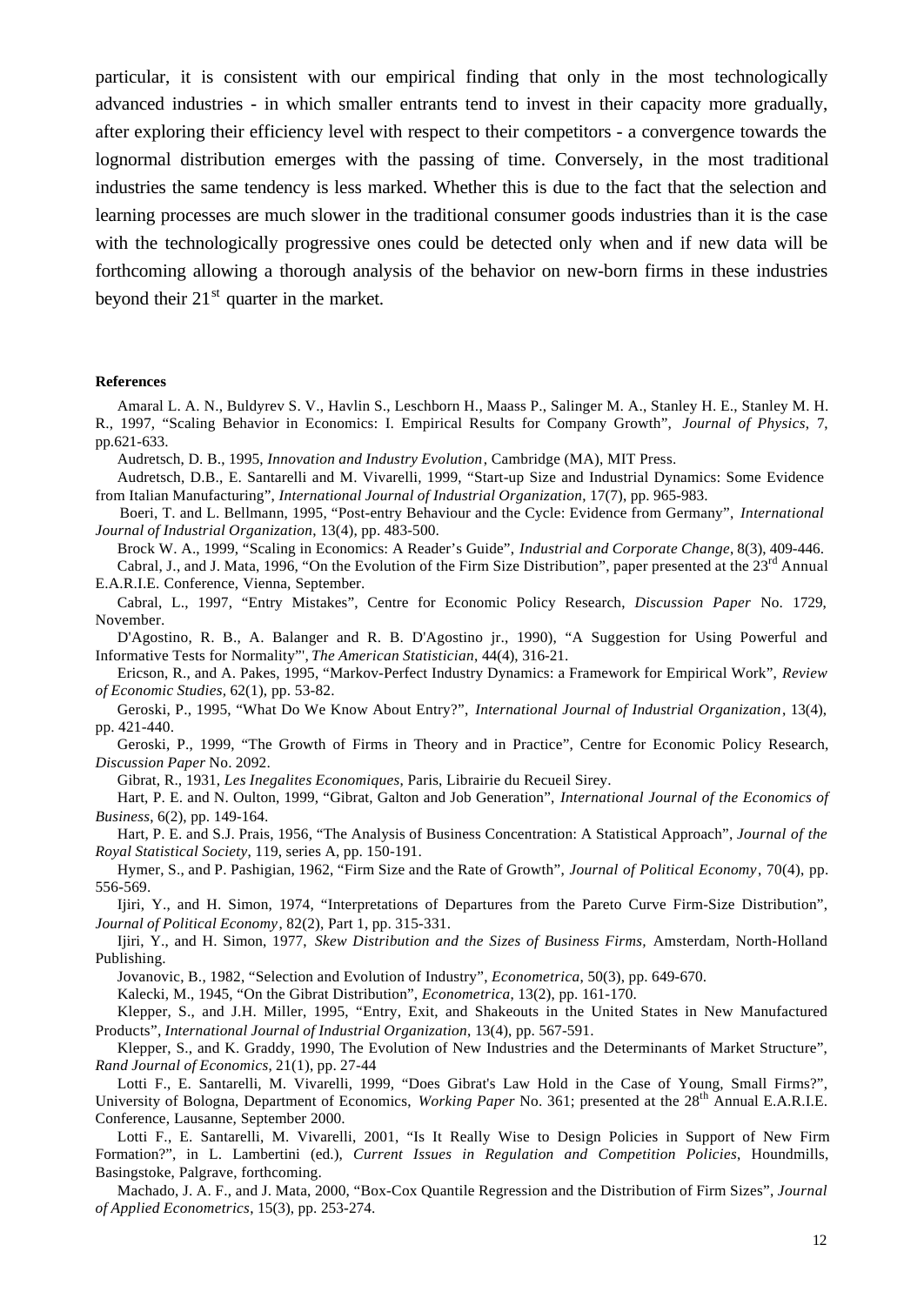particular, it is consistent with our empirical finding that only in the most technologically advanced industries - in which smaller entrants tend to invest in their capacity more gradually, after exploring their efficiency level with respect to their competitors - a convergence towards the lognormal distribution emerges with the passing of time. Conversely, in the most traditional industries the same tendency is less marked. Whether this is due to the fact that the selection and learning processes are much slower in the traditional consumer goods industries than it is the case with the technologically progressive ones could be detected only when and if new data will be forthcoming allowing a thorough analysis of the behavior on new-born firms in these industries beyond their  $21<sup>st</sup>$  quarter in the market.

#### **References**

Amaral L. A. N., Buldyrev S. V., Havlin S., Leschborn H., Maass P., Salinger M. A., Stanley H. E., Stanley M. H. R., 1997, "Scaling Behavior in Economics: I. Empirical Results for Company Growth", *Journal of Physics*, 7, pp.621-633.

Audretsch, D. B., 1995, *Innovation and Industry Evolution*, Cambridge (MA), MIT Press.

Audretsch, D.B., E. Santarelli and M. Vivarelli, 1999, "Start-up Size and Industrial Dynamics: Some Evidence from Italian Manufacturing", *International Journal of Industrial Organization*, 17(7), pp. 965-983.

Boeri, T. and L. Bellmann, 1995, "Post-entry Behaviour and the Cycle: Evidence from Germany", *International Journal of Industrial Organization*, 13(4), pp. 483-500.

Brock W. A., 1999, "Scaling in Economics: A Reader's Guide", *Industrial and Corporate Change*, 8(3), 409-446. Cabral, J., and J. Mata, 1996, "On the Evolution of the Firm Size Distribution", paper presented at the 23rd Annual E.A.R.I.E. Conference, Vienna, September.

Cabral, L., 1997, "Entry Mistakes", Centre for Economic Policy Research, *Discussion Paper* No. 1729, November.

D'Agostino, R. B., A. Balanger and R. B. D'Agostino jr., 1990), "A Suggestion for Using Powerful and Informative Tests for Normality"', *The American Statistician*, 44(4), 316-21.

Ericson, R., and A. Pakes, 1995, "Markov-Perfect Industry Dynamics: a Framework for Empirical Work", *Review of Economic Studies,* 62(1), pp. 53-82.

Geroski, P., 1995, "What Do We Know About Entry?", *International Journal of Industrial Organization*, 13(4), pp. 421-440.

Geroski, P., 1999, "The Growth of Firms in Theory and in Practice", Centre for Economic Policy Research, *Discussion Paper* No. 2092.

Gibrat, R., 1931, *Les Inegalites Economiques*, Paris, Librairie du Recueil Sirey.

Hart, P. E. and N. Oulton, 1999, "Gibrat, Galton and Job Generation", *International Journal of the Economics of Business*, 6(2), pp. 149-164.

Hart, P. E. and S.J. Prais, 1956, "The Analysis of Business Concentration: A Statistical Approach", *Journal of the Royal Statistical Society*, 119, series A, pp. 150-191.

Hymer, S., and P. Pashigian, 1962, "Firm Size and the Rate of Growth", *Journal of Political Economy*, 70(4), pp. 556-569.

Ijiri, Y., and H. Simon, 1974, "Interpretations of Departures from the Pareto Curve Firm-Size Distribution", *Journal of Political Economy*, 82(2), Part 1, pp. 315-331.

Ijiri, Y., and H. Simon, 1977, *Skew Distribution and the Sizes of Business Firms,* Amsterdam, North-Holland Publishing.

Jovanovic, B., 1982, "Selection and Evolution of Industry", *Econometrica*, 50(3), pp. 649-670.

Kalecki, M., 1945, "On the Gibrat Distribution", *Econometrica*, 13(2), pp. 161-170.

Klepper, S., and J.H. Miller, 1995, "Entry, Exit, and Shakeouts in the United States in New Manufactured Products", *International Journal of Industrial Organization*, 13(4), pp. 567-591.

Klepper, S., and K. Graddy, 1990, The Evolution of New Industries and the Determinants of Market Structure", *Rand Journal of Economics*, 21(1), pp. 27-44

Lotti F., E. Santarelli, M. Vivarelli, 1999, "Does Gibrat's Law Hold in the Case of Young, Small Firms?", University of Bologna, Department of Economics, *Working Paper* No. 361; presented at the 28<sup>th</sup> Annual E.A.R.I.E. Conference, Lausanne, September 2000.

Lotti F., E. Santarelli, M. Vivarelli, 2001, "Is It Really Wise to Design Policies in Support of New Firm Formation?", in L. Lambertini (ed.), *Current Issues in Regulation and Competition Policies*, Houndmills, Basingstoke, Palgrave, forthcoming.

Machado, J. A. F., and J. Mata, 2000, "Box-Cox Quantile Regression and the Distribution of Firm Sizes", *Journal of Applied Econometrics*, 15(3), pp. 253-274.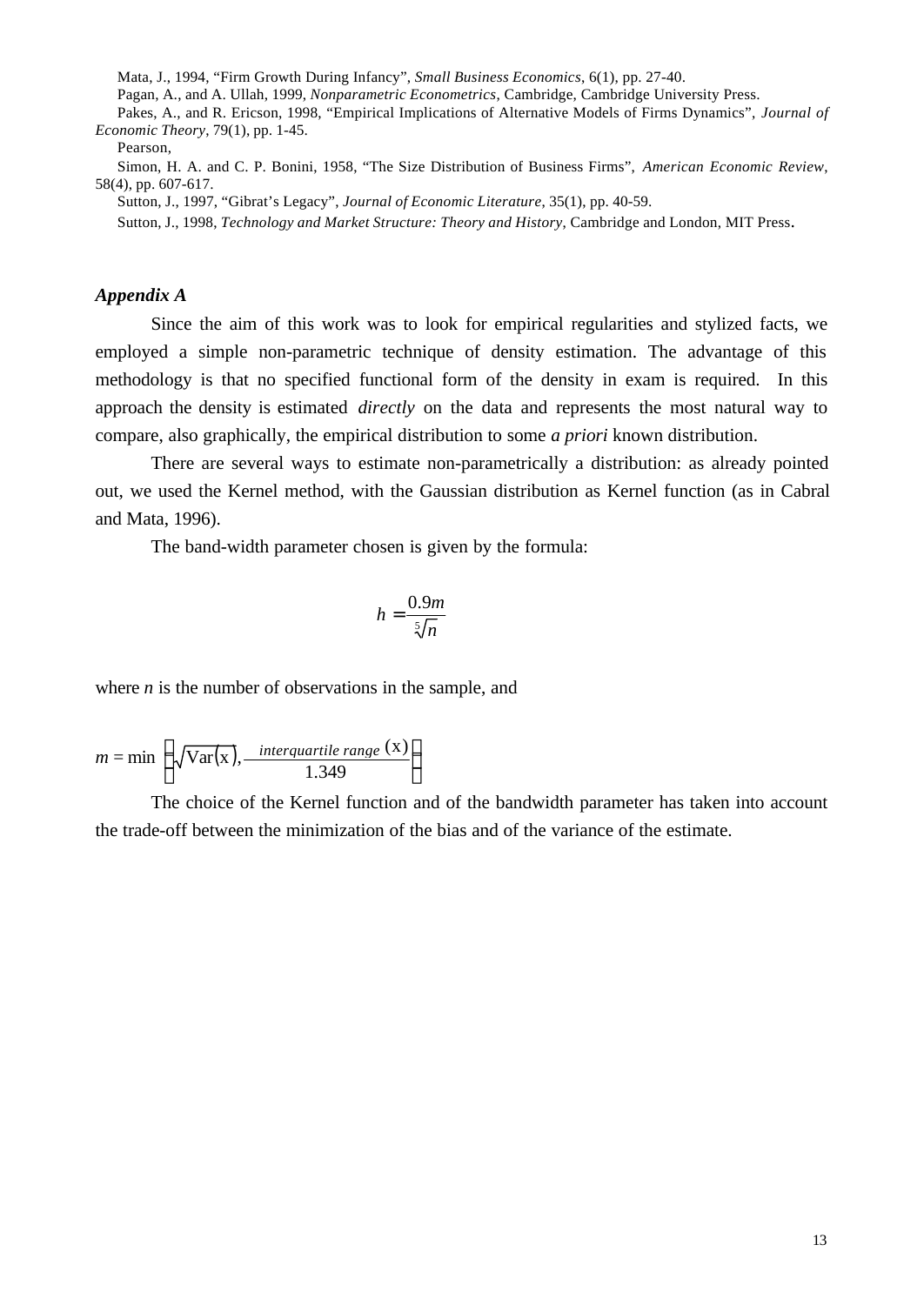Mata, J., 1994, "Firm Growth During Infancy", *Small Business Economics*, 6(1), pp. 27-40.

Pagan, A., and A. Ullah, 1999, *Nonparametric Econometrics*, Cambridge, Cambridge University Press.

Pakes, A., and R. Ericson, 1998, "Empirical Implications of Alternative Models of Firms Dynamics", *Journal of Economic Theory*, 79(1), pp. 1-45.

Pearson,

Simon, H. A. and C. P. Bonini, 1958, "The Size Distribution of Business Firms", *American Economic Review*, 58(4), pp. 607-617.

Sutton, J., 1997, "Gibrat's Legacy", *Journal of Economic Literature*, 35(1), pp. 40-59.

Sutton, J., 1998, *Technology and Market Structure: Theory and History*, Cambridge and London, MIT Press.

# *Appendix A*

Since the aim of this work was to look for empirical regularities and stylized facts, we employed a simple non-parametric technique of density estimation. The advantage of this methodology is that no specified functional form of the density in exam is required. In this approach the density is estimated *directly* on the data and represents the most natural way to compare, also graphically, the empirical distribution to some *a priori* known distribution.

There are several ways to estimate non-parametrically a distribution: as already pointed out, we used the Kernel method, with the Gaussian distribution as Kernel function (as in Cabral and Mata, 1996).

The band-width parameter chosen is given by the formula:

$$
h=\frac{0.9m}{\sqrt[5]{n}}
$$

where *n* is the number of observations in the sample, and

$$
m = \min\left(\sqrt{\text{Var}(x)}, \frac{\text{interquartile range (x)}}{1.349}\right)
$$

The choice of the Kernel function and of the bandwidth parameter has taken into account the trade-off between the minimization of the bias and of the variance of the estimate.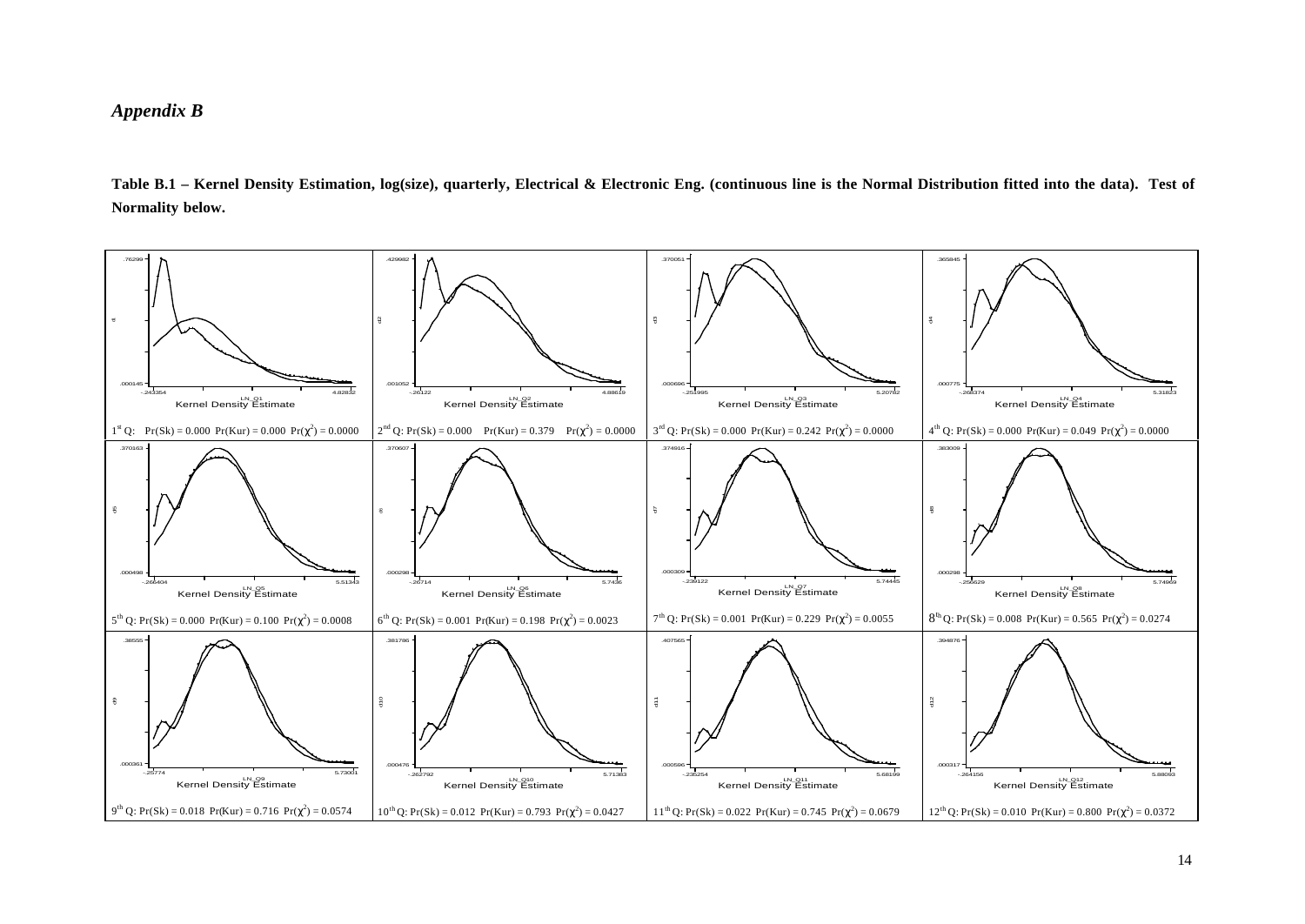# *Appendix B*

**Table B.1 – Kernel Density Estimation, log(size), quarterly, Electrical & Electronic Eng. (continuous line is the Normal Distribution fitted into the data). Test of Normality below.**

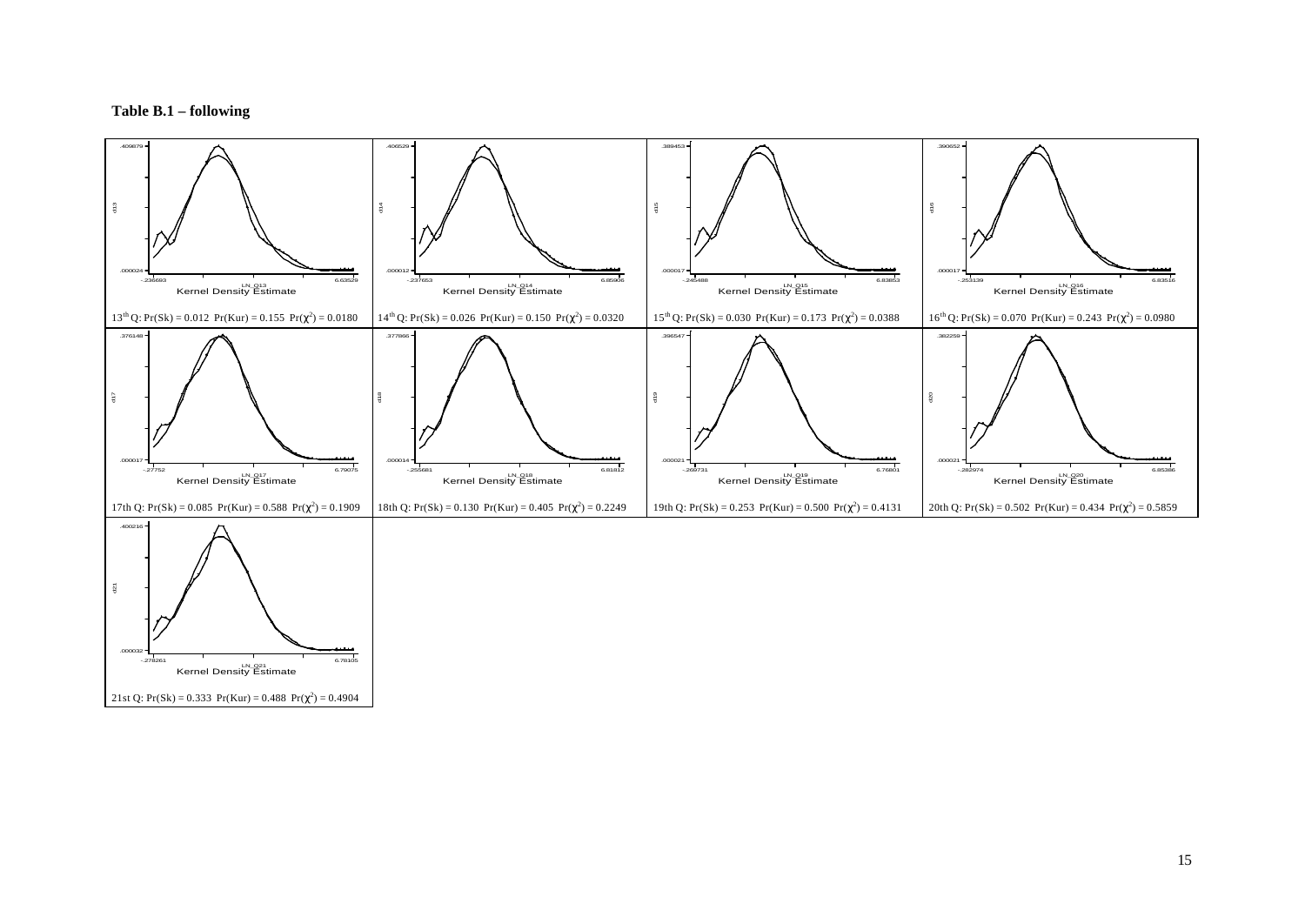#### **Table B.1 – following**

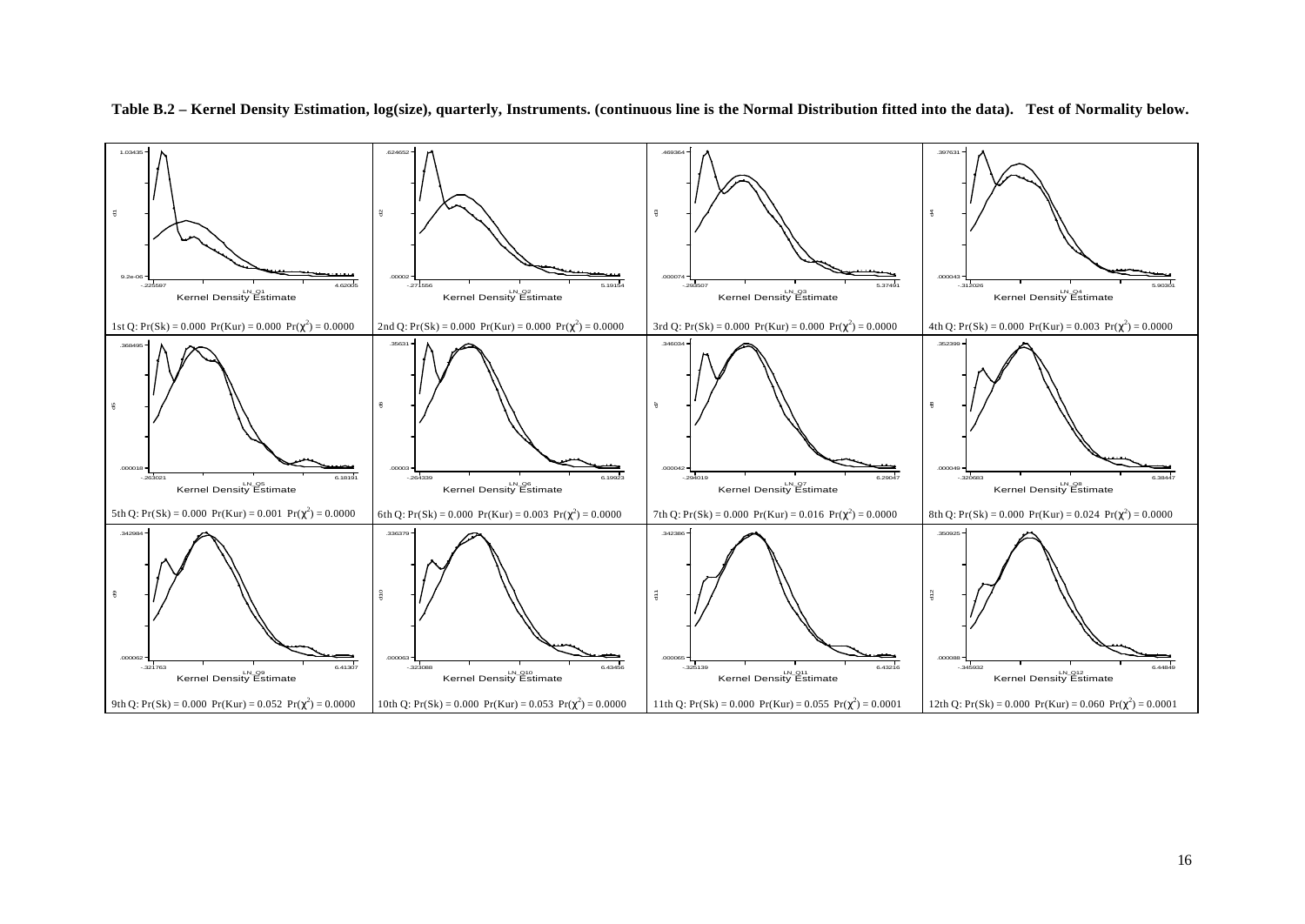

**Table B.2 – Kernel Density Estimation, log(size), quarterly, Instruments. (continuous line is the Normal Distribution fitted into the data). Test of Normality below.**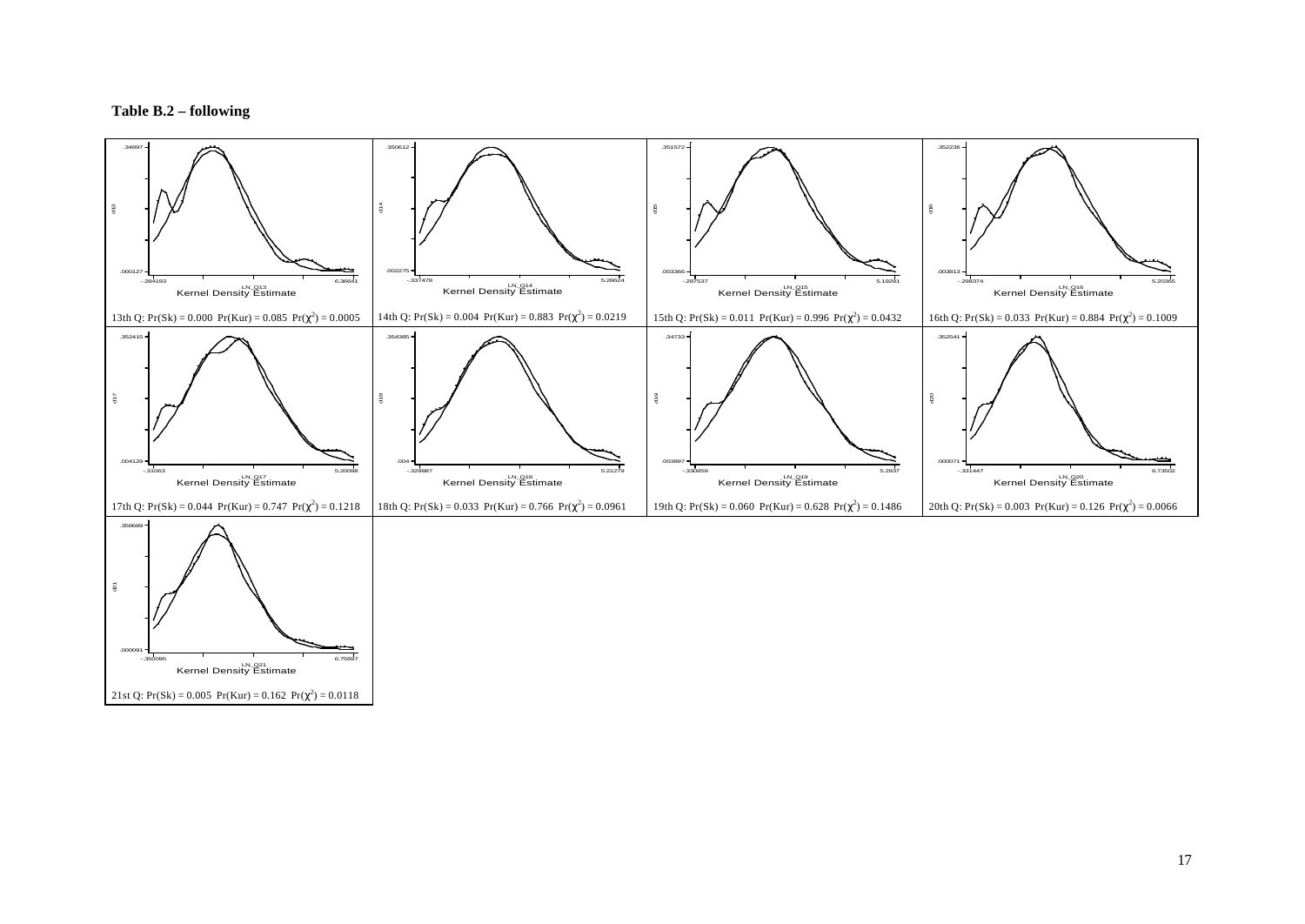#### **Table B.2 – following**

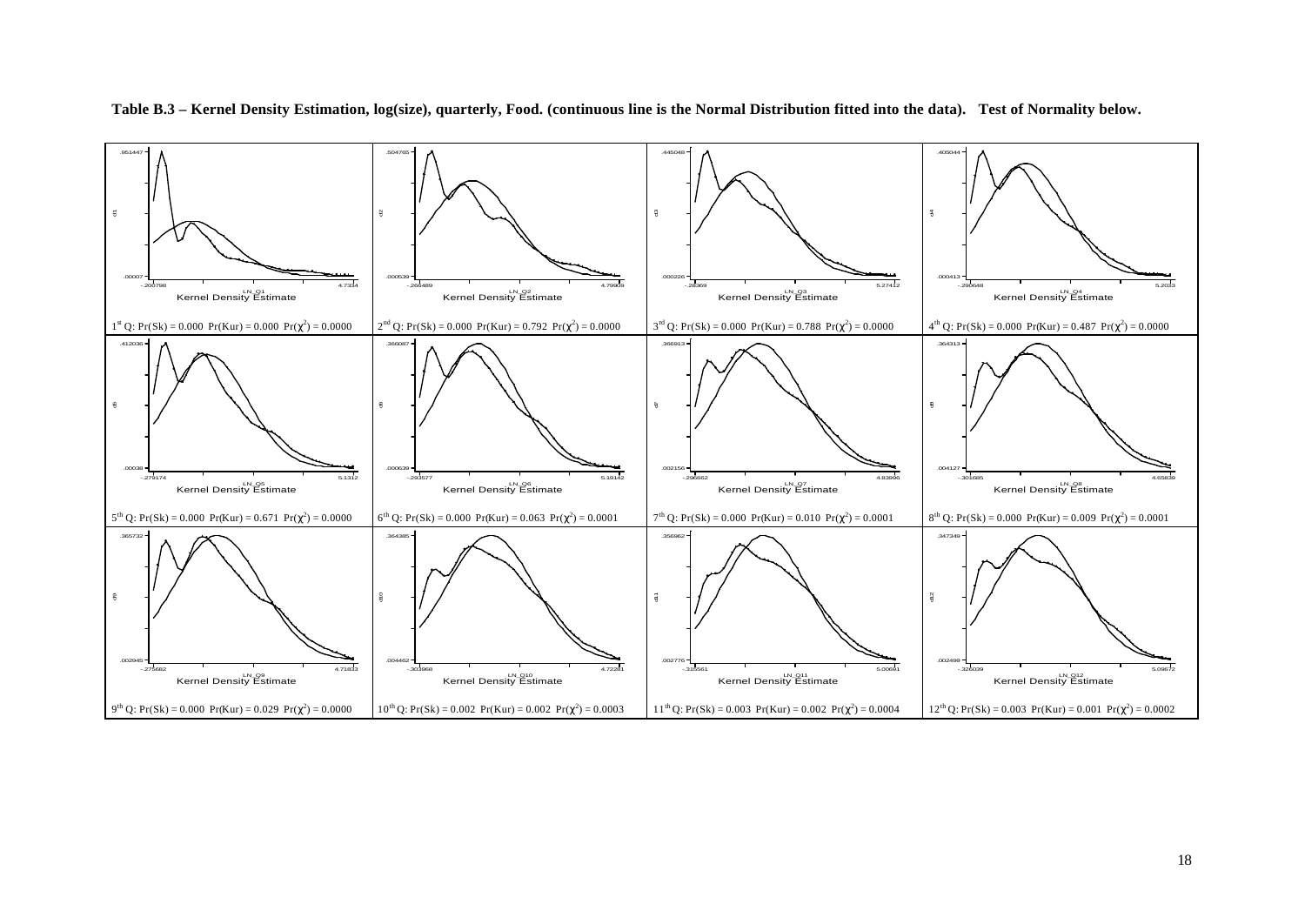

**Table B.3 – Kernel Density Estimation, log(size), quarterly, Food. (continuous line is the Normal Distribution fitted into the data). Test of Normality below.**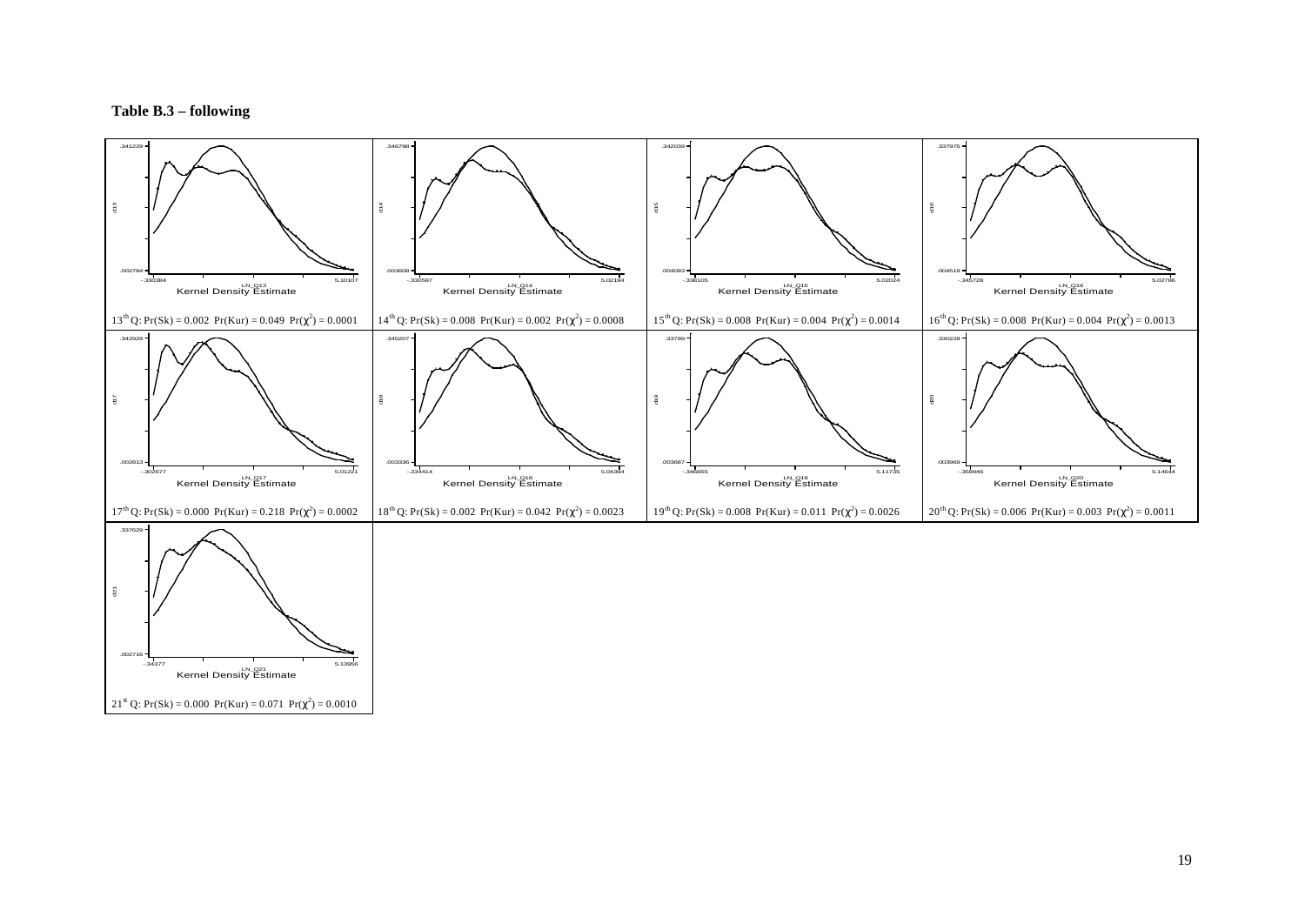#### **Table B.3 – following**

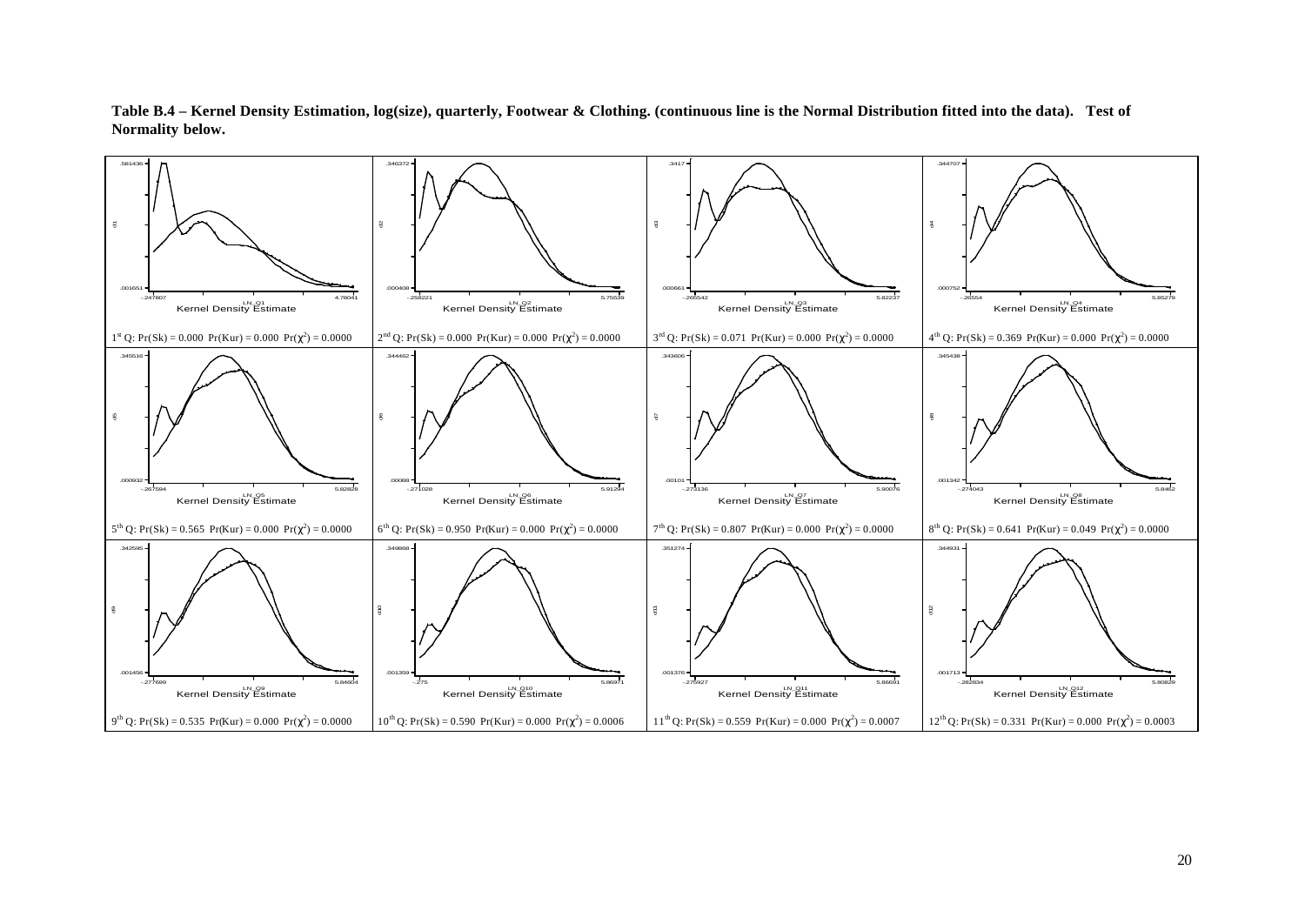

**Table B.4 – Kernel Density Estimation, log(size), quarterly, Footwear & Clothing. (continuous line is the Normal Distribution fitted into the data). Test of Normality below.**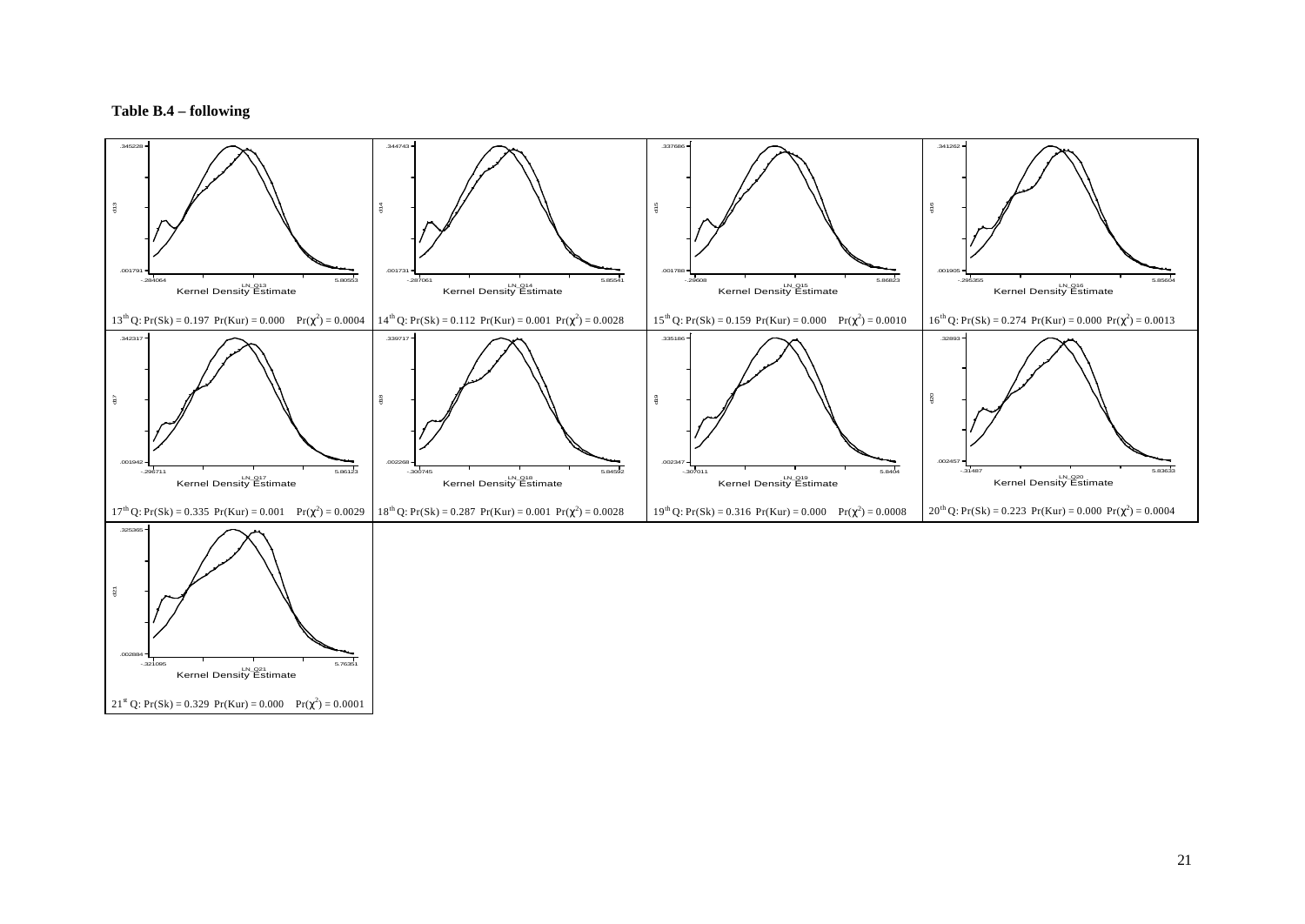#### **Table B.4 – following**

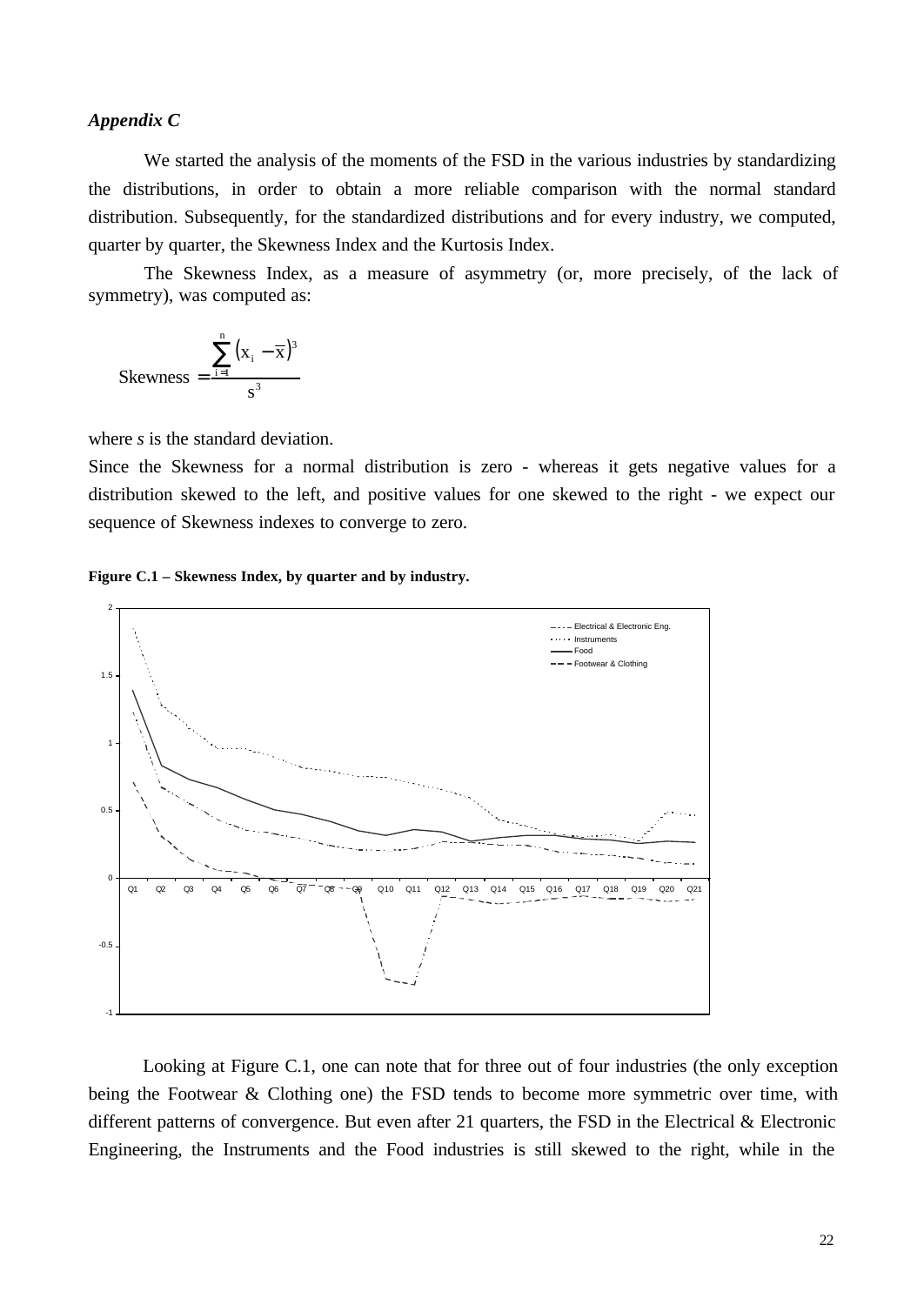# *Appendix C*

We started the analysis of the moments of the FSD in the various industries by standardizing the distributions, in order to obtain a more reliable comparison with the normal standard distribution. Subsequently, for the standardized distributions and for every industry, we computed, quarter by quarter, the Skewness Index and the Kurtosis Index.

The Skewness Index, as a measure of asymmetry (or, more precisely, of the lack of symmetry), was computed as:

$$
Skewness = \frac{\sum_{i=1}^{n} (x_i - \overline{x})^3}{s^3}
$$

where *s* is the standard deviation.

Since the Skewness for a normal distribution is zero - whereas it gets negative values for a distribution skewed to the left, and positive values for one skewed to the right - we expect our sequence of Skewness indexes to converge to zero.

## **Figure C.1 – Skewness Index, by quarter and by industry.**



Looking at Figure C.1, one can note that for three out of four industries (the only exception being the Footwear & Clothing one) the FSD tends to become more symmetric over time, with different patterns of convergence. But even after 21 quarters, the FSD in the Electrical & Electronic Engineering, the Instruments and the Food industries is still skewed to the right, while in the